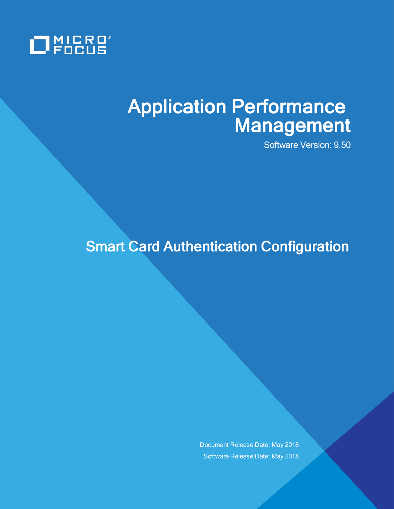

# Application Performance Management

Software Version: 9.50

## **Smart Card Authentication Configuration**

Document Release Date: May 2018 Software Release Date: May 2018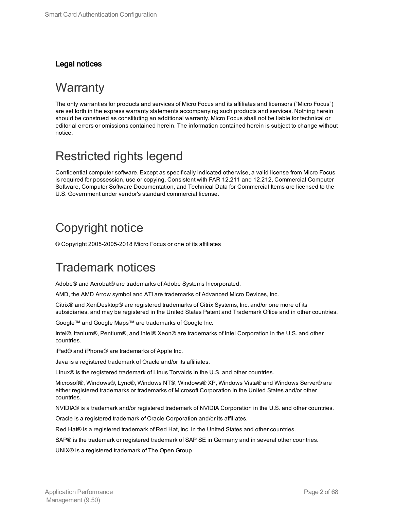#### Legal notices

### **Warranty**

The only warranties for products and services of Micro Focus and its affiliates and licensors ("Micro Focus") are set forth in the express warranty statements accompanying such products and services. Nothing herein should be construed as constituting an additional warranty. Micro Focus shall not be liable for technical or editorial errors or omissions contained herein. The information contained herein is subject to change without notice.

### Restricted rights legend

Confidential computer software. Except as specifically indicated otherwise, a valid license from Micro Focus is required for possession, use or copying. Consistent with FAR 12.211 and 12.212, Commercial Computer Software, Computer Software Documentation, and Technical Data for Commercial Items are licensed to the U.S. Government under vendor's standard commercial license.

### Copyright notice

© Copyright 2005-2005-2018 Micro Focus or one of its affiliates

### Trademark notices

Adobe® and Acrobat® are trademarks of Adobe Systems Incorporated.

AMD, the AMD Arrow symbol and ATI are trademarks of Advanced Micro Devices, Inc.

Citrix® and XenDesktop® are registered trademarks of Citrix Systems, Inc. and/or one more of its subsidiaries, and may be registered in the United States Patent and Trademark Office and in other countries.

Google™ and Google Maps™ are trademarks of Google Inc.

Intel®, Itanium®, Pentium®, and Intel® Xeon® are trademarks of Intel Corporation in the U.S. and other countries.

iPad® and iPhone® are trademarks of Apple Inc.

Java is a registered trademark of Oracle and/or its affiliates.

Linux® is the registered trademark of Linus Torvalds in the U.S. and other countries.

Microsoft®, Windows®, Lync®, Windows NT®, Windows® XP, Windows Vista® and Windows Server® are either registered trademarks or trademarks of Microsoft Corporation in the United States and/or other countries.

NVIDIA® is a trademark and/or registered trademark of NVIDIA Corporation in the U.S. and other countries.

Oracle is a registered trademark of Oracle Corporation and/or its affiliates.

Red Hat® is a registered trademark of Red Hat, Inc. in the United States and other countries.

SAP® is the trademark or registered trademark of SAP SE in Germany and in several other countries.

UNIX® is a registered trademark of The Open Group.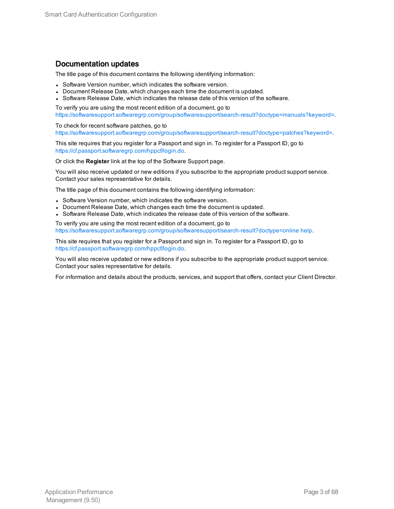#### Documentation updates

The title page of this document contains the following identifying information:

- Software Version number, which indicates the software version.
- Document Release Date, which changes each time the document is updated.
- Software Release Date, which indicates the release date of this version of the software.

To verify you are using the most recent edition of a document, go to [https://softwaresupport.softwaregrp.com/group/softwaresupport/search-result?doctype=manuals?keyword=.](https://softwaresupport.softwaregrp.com/group/softwaresupport/search-result?doctype=manuals?keyword=)

To check for recent software patches, go to [https://softwaresupport.softwaregrp.com/group/softwaresupport/search-result?doctype=patches?keyword=.](https://softwaresupport.softwaregrp.com/group/softwaresupport/search-result?doctype=patches?keyword=)

This site requires that you register for a Passport and sign in. To register for a Passport ID, go to <https://cf.passport.softwaregrp.com/hppcf/login.do>.

Or click the **Register** link at the top of the Software Support page.

You will also receive updated or new editions if you subscribe to the appropriate product support service. Contact your sales representative for details.

The title page of this document contains the following identifying information:

- Software Version number, which indicates the software version.
- Document Release Date, which changes each time the document is updated.
- Software Release Date, which indicates the release date of this version of the software.

To verify you are using the most recent edition of a document, go to [https://softwaresupport.softwaregrp.com/group/softwaresupport/search-result?doctype=online](https://softwaresupport.softwaregrp.com/group/softwaresupport/search-result?doctype=online help) help.

This site requires that you register for a Passport and sign in. To register for a Passport ID, go to <https://cf.passport.softwaregrp.com/hppcf/login.do>.

You will also receive updated or new editions if you subscribe to the appropriate product support service. Contact your sales representative for details.

For information and details about the products, services, and support that offers, contact your Client Director.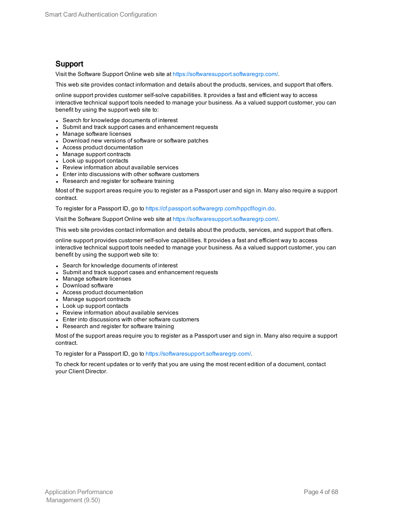#### Support

Visit the Software Support Online web site at <https://softwaresupport.softwaregrp.com/>.

This web site provides contact information and details about the products, services, and support that offers.

online support provides customer self-solve capabilities. It provides a fast and efficient way to access interactive technical support tools needed to manage your business. As a valued support customer, you can benefit by using the support web site to:

- Search for knowledge documents of interest
- Submit and track support cases and enhancement requests
- Manage software licenses
- Download new versions of software or software patches
- Access product documentation
- Manage support contracts
- Look up support contacts
- Review information about available services
- Enter into discussions with other software customers
- Research and register for software training

Most of the support areas require you to register as a Passport user and sign in. Many also require a support contract.

To register for a Passport ID, go to [https://cf.passport.softwaregrp.com/hppcf/login.do.](https://cf.passport.softwaregrp.com/hppcf/login.do)

Visit the Software Support Online web site at <https://softwaresupport.softwaregrp.com/>.

This web site provides contact information and details about the products, services, and support that offers.

online support provides customer self-solve capabilities. It provides a fast and efficient way to access interactive technical support tools needed to manage your business. As a valued support customer, you can benefit by using the support web site to:

- Search for knowledge documents of interest
- Submit and track support cases and enhancement requests
- Manage software licenses
- Download software
- Access product documentation
- Manage support contracts
- Look up support contacts
- Review information about available services
- Enter into discussions with other software customers
- Research and register for software training

Most of the support areas require you to register as a Passport user and sign in. Many also require a support contract.

To register for a Passport ID, go to <https://softwaresupport.softwaregrp.com/>.

To check for recent updates or to verify that you are using the most recent edition of a document, contact your Client Director.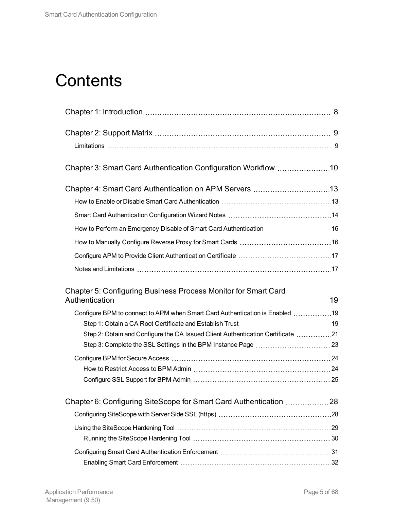## **Contents**

| How to Perform an Emergency Disable of Smart Card Authentication  16            |  |
|---------------------------------------------------------------------------------|--|
|                                                                                 |  |
|                                                                                 |  |
|                                                                                 |  |
| Chapter 5: Configuring Business Process Monitor for Smart Card                  |  |
| Configure BPM to connect to APM when Smart Card Authentication is Enabled 19    |  |
|                                                                                 |  |
| Step 2: Obtain and Configure the CA Issued Client Authentication Certificate 21 |  |
|                                                                                 |  |
|                                                                                 |  |
|                                                                                 |  |
|                                                                                 |  |
| Chapter 6: Configuring SiteScope for Smart Card Authentication 28               |  |
|                                                                                 |  |
|                                                                                 |  |
|                                                                                 |  |
|                                                                                 |  |
|                                                                                 |  |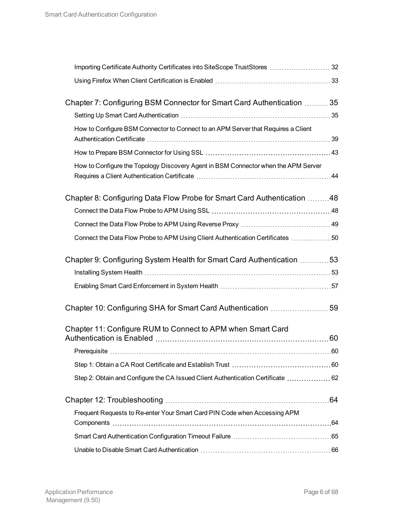| Importing Certificate Authority Certificates into SiteScope TrustStores 32         |  |
|------------------------------------------------------------------------------------|--|
|                                                                                    |  |
| Chapter 7: Configuring BSM Connector for Smart Card Authentication  35             |  |
|                                                                                    |  |
| How to Configure BSM Connector to Connect to an APM Server that Requires a Client  |  |
|                                                                                    |  |
| How to Configure the Topology Discovery Agent in BSM Connector when the APM Server |  |
| Chapter 8: Configuring Data Flow Probe for Smart Card Authentication 48            |  |
|                                                                                    |  |
|                                                                                    |  |
| Connect the Data Flow Probe to APM Using Client Authentication Certificates 50     |  |
| Chapter 9: Configuring System Health for Smart Card Authentication 53              |  |
|                                                                                    |  |
|                                                                                    |  |
| Chapter 10: Configuring SHA for Smart Card Authentication 59                       |  |
| Chapter 11: Configure RUM to Connect to APM when Smart Card                        |  |
|                                                                                    |  |
|                                                                                    |  |
|                                                                                    |  |
| Step 2: Obtain and Configure the CA Issued Client Authentication Certificate  62   |  |
|                                                                                    |  |
| Frequent Requests to Re-enter Your Smart Card PIN Code when Accessing APM          |  |
|                                                                                    |  |
|                                                                                    |  |
|                                                                                    |  |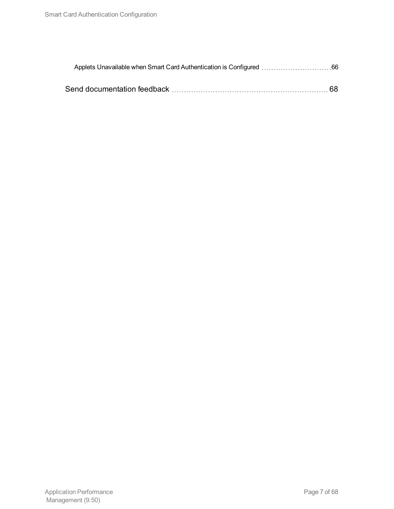| Applets Unavailable when Smart Card Authentication is Configured 66 |  |
|---------------------------------------------------------------------|--|
|                                                                     |  |
|                                                                     |  |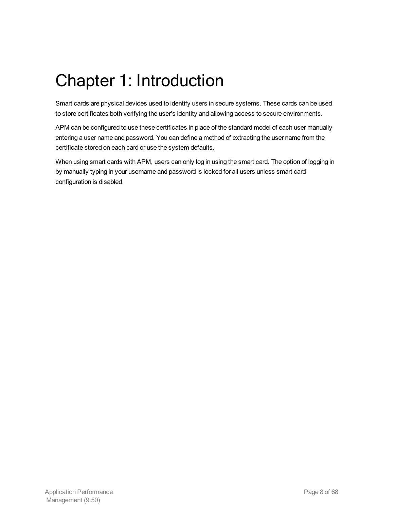# <span id="page-7-0"></span>Chapter 1: Introduction

Smart cards are physical devices used to identify users in secure systems. These cards can be used to store certificates both verifying the user's identity and allowing access to secure environments.

APM can be configured to use these certificates in place of the standard model of each user manually entering a user name and password. You can define a method of extracting the user name from the certificate stored on each card or use the system defaults.

When using smart cards with APM, users can only log in using the smart card. The option of logging in by manually typing in your username and password is locked for all users unless smart card configuration is disabled.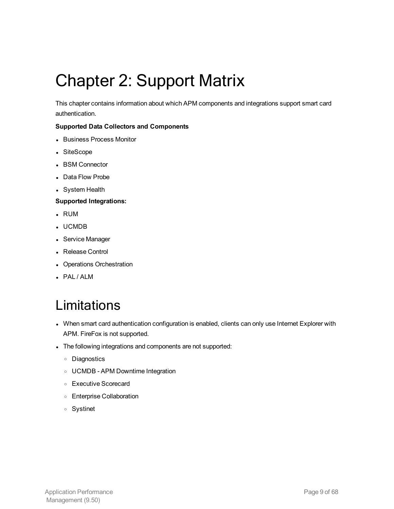# <span id="page-8-0"></span>Chapter 2: Support Matrix

This chapter contains information about which APM components and integrations support smart card authentication.

#### **Supported Data Collectors and Components**

- Business Process Monitor
- SiteScope
- BSM Connector
- Data Flow Probe
- System Health

#### **Supported Integrations:**

- <sup>l</sup> RUM
- <sup>l</sup> UCMDB
- Service Manager
- Release Control
- Operations Orchestration
- <span id="page-8-1"></span>• PAL / ALM

## Limitations

- When smart card authentication configuration is enabled, clients can only use Internet Explorer with APM. FireFox is not supported.
- The following integrations and components are not supported:
	- <sup>o</sup> Diagnostics
	- <sup>o</sup> UCMDB APM Downtime Integration
	- <sup>o</sup> Executive Scorecard
	- <sup>o</sup> Enterprise Collaboration
	- <sup>o</sup> Systinet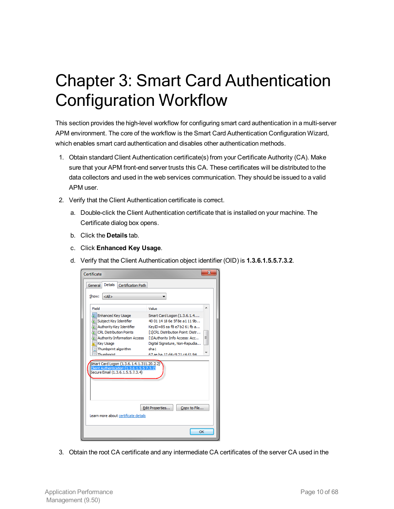# <span id="page-9-0"></span>Chapter 3: Smart Card Authentication Configuration Workflow

This section provides the high-level workflow for configuring smart card authentication in a multi-server APM environment. The core of the workflow is the Smart Card Authentication Configuration Wizard, which enables smart card authentication and disables other authentication methods.

- 1. Obtain standard Client Authentication certificate(s) from your Certificate Authority (CA). Make sure that your APM front-end server trusts this CA. These certificates will be distributed to the data collectors and used in the web services communication. They should be issued to a valid APM user.
- 2. Verify that the Client Authentication certificate is correct.
	- a. Double-click the Client Authentication certificate that is installed on your machine. The Certificate dialog box opens.
	- b. Click the **Details** tab.
	- c. Click **Enhanced Key Usage**.
	- d. Verify that the Client Authentication object identifier (OID) is **1.3.6.1.5.5.7.3.2**.

| Certificate                                                                                                                                                                                   | $\overline{\mathbf{x}}$                                                                                                                                                                                                                             |  |
|-----------------------------------------------------------------------------------------------------------------------------------------------------------------------------------------------|-----------------------------------------------------------------------------------------------------------------------------------------------------------------------------------------------------------------------------------------------------|--|
| Details<br>General<br>Certification Path                                                                                                                                                      |                                                                                                                                                                                                                                                     |  |
| Show:<br>$<$ All $>$                                                                                                                                                                          |                                                                                                                                                                                                                                                     |  |
| Field                                                                                                                                                                                         | ▲<br>Value                                                                                                                                                                                                                                          |  |
| Enhanced Key Usage<br>Subject Key Identifier<br>Authority Key Identifier<br>CRL Distribution Points<br>Authority Information Access<br><b>Key Usage</b><br>Thumbprint algorithm<br>Thumborint | Smart Card Logon (1.3.6.1.4<br>40 01 14 18 6e 5f 8e a1 11 9b<br>KeyID=85 ea f8 e7 b2 61 fb a<br>[1]CRL Distribution Point: Distr<br>Ξ<br>[1] Authority Info Access: Acc<br>Digital Signature, Non-Repudia<br>sha 1<br>67 ae ha 12 d4 c9 21 c4 d1 94 |  |
| Smart Card Logon (1.3.6.1.4.1.311.20.2.2)<br>Client Authentication (1.3.6.1.5.5.7.3.2)<br>Secure Email (1.3.6.1.5.5.7.3.4)                                                                    |                                                                                                                                                                                                                                                     |  |
| Edit Properties<br>Copy to File<br>Learn more about certificate details                                                                                                                       |                                                                                                                                                                                                                                                     |  |
|                                                                                                                                                                                               | OK                                                                                                                                                                                                                                                  |  |

3. Obtain the root CA certificate and any intermediate CA certificates of the server CA used in the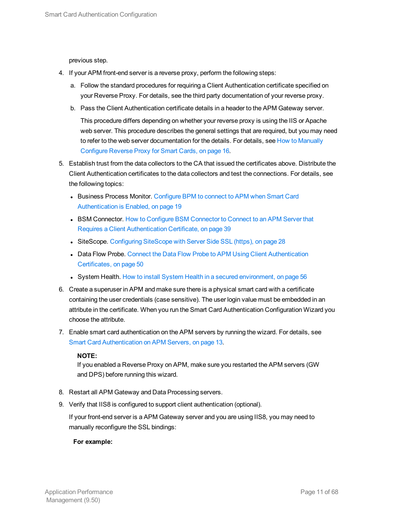previous step.

- 4. If your APM front-end server is a reverse proxy, perform the following steps:
	- a. Follow the standard procedures for requiring a Client Authentication certificate specified on your Reverse Proxy. For details, see the third party documentation of your reverse proxy.
	- b. Pass the Client Authentication certificate details in a header to the APM Gateway server.

This procedure differs depending on whether your reverse proxy is using the IIS or Apache web server. This procedure describes the general settings that are required, but you may need to refer to the web server documentation for the details. For details, see How to [Manually](#page-15-1) [Configure](#page-15-1) Reverse Proxy for Smart Cards, on page 16.

- 5. Establish trust from the data collectors to the CA that issued the certificates above. Distribute the Client Authentication certificates to the data collectors and test the connections. For details, see the following topics:
	- Business Process Monitor. Configure BPM to connect to [APM when](#page-18-1) Smart Card [Authentication](#page-18-1) is Enabled, on page 19
	- BSM [Connector](#page-38-0). How to Configure BSM Connector to Connect to an APM Server that Requires a Client [Authentication](#page-38-0) Certificate, on page 39
	- SiteScope. [Configuring](#page-27-1) SiteScope with Server Side SSL (https), on page 28
	- Data Flow Probe. Connect the Data Flow Probe to APM Using Client [Authentication](#page-49-0) [Certificates,](#page-49-0) on page 50
	- System Health. How to install System Health in a secured [environment,](#page-55-0) on page 56
- 6. Create a superuser in APM and make sure there is a physical smart card with a certificate containing the user credentials (case sensitive). The user login value must be embedded in an attribute in the certificate. When you run the Smart Card Authentication Configuration Wizard you choose the attribute.
- 7. Enable smart card authentication on the APM servers by running the wizard. For details, see Smart Card [Authentication](#page-12-0) on APM Servers, on page 13.

#### **NOTE:**

If you enabled a Reverse Proxy on APM, make sure you restarted the APM servers (GW and DPS) before running this wizard.

- 8. Restart all APM Gateway and Data Processing servers.
- 9. Verify that IIS8 is configured to support client authentication (optional).

If your front-end server is a APM Gateway server and you are using IIS8, you may need to manually reconfigure the SSL bindings:

#### **For example:**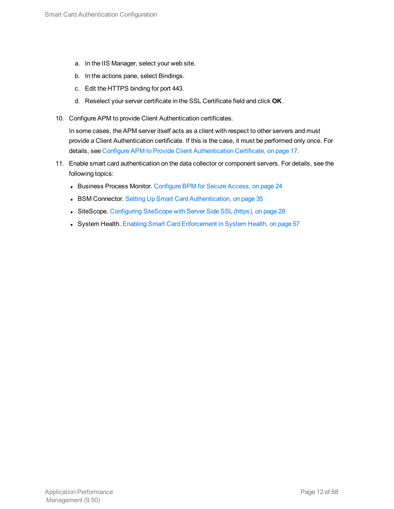- a. In the IIS Manager, select your web site.
- b. In the actions pane, select Bindings.
- c. Edit the HTTPS binding for port 443.
- d. Reselect your server certificate in the SSL Certificate field and click **OK**.
- 10. Configure APM to provide Client Authentication certificates.

In some cases, the APM server itself acts as a client with respect to other servers and must provide a Client Authentication certificate. If this is the case, it must be performed only once. For details, see Configure APM to Provide Client [Authentication](#page-16-0) Certificate, on page 17.

- 11. Enable smart card authentication on the data collector or component servers. For details, see the following topics:
	- **Business Process Monitor. [Configure](#page-23-0) BPM for Secure Access, on page 24**
	- BSM Connector. Setting Up Smart Card [Authentication,](#page-34-1) on page 35
	- SiteScope. [Configuring](#page-27-1) SiteScope with Server Side SSL (https), on page 28
	- System Health. Enabling Smart Card [Enforcement](#page-56-0) in System Health, on page 57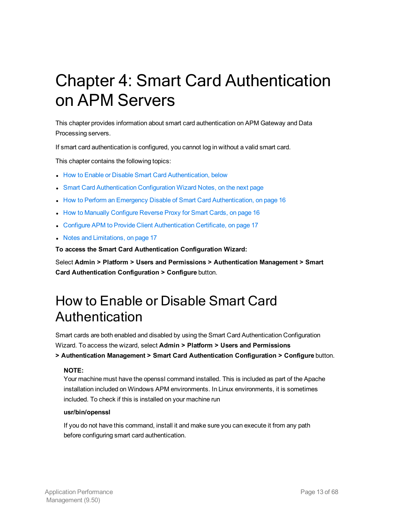# <span id="page-12-0"></span>Chapter 4: Smart Card Authentication on APM Servers

This chapter provides information about smart card authentication on APM Gateway and Data Processing servers.

If smart card authentication is configured, you cannot log in without a valid smart card.

This chapter contains the following topics:

- How to Enable or Disable Smart Card [Authentication,](#page-12-1) below
- Smart Card [Authentication](#page-13-0) Configuration Wizard Notes, on the next page
- I How to Perform an Emergency Disable of Smart Card [Authentication,](#page-15-0) on page 16
- How to Manually [Configure](#page-15-1) Reverse Proxy for Smart Cards, on page 16
- Configure APM to Provide Client [Authentication](#page-16-0) Certificate, on page 17
- Notes and [Limitations,](#page-16-1) on page 17

**To access the Smart Card Authentication Configuration Wizard:**

<span id="page-12-1"></span>Select **Admin > Platform > Users and Permissions > Authentication Management > Smart Card Authentication Configuration > Configure** button.

### How to Enable or Disable Smart Card Authentication

Smart cards are both enabled and disabled by using the Smart Card Authentication Configuration Wizard. To access the wizard, select **Admin > Platform > Users and Permissions**

**> Authentication Management > Smart Card Authentication Configuration > Configure** button.

#### **NOTE:**

Your machine must have the openssl command installed. This is included as part of the Apache installation included on Windows APM environments. In Linux environments, it is sometimes included. To check if this is installed on your machine run

#### **usr/bin/openssl**

If you do not have this command, install it and make sure you can execute it from any path before configuring smart card authentication.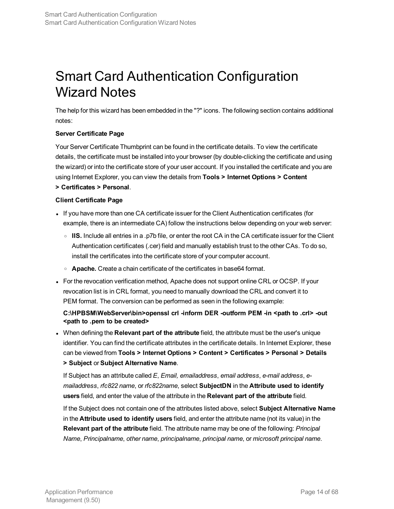## <span id="page-13-0"></span>Smart Card Authentication Configuration Wizard Notes

The help for this wizard has been embedded in the "?" icons. The following section contains additional notes:

#### **Server Certificate Page**

Your Server Certificate Thumbprint can be found in the certificate details. To view the certificate details, the certificate must be installed into your browser (by double-clicking the certificate and using the wizard) or into the certificate store of your user account. If you installed the certificate and you are using Internet Explorer, you can view the details from **Tools > Internet Options > Content**

#### **> Certificates > Personal**.

#### **Client Certificate Page**

- If you have more than one CA certificate issuer for the Client Authentication certificates (for example, there is an intermediate CA) follow the instructions below depending on your web server:
	- <sup>o</sup> **IIS.** Include all entries in a .p7b file, or enter the root CA in the CA certificate issuer for the Client Authentication certificates (.cer) field and manually establish trust to the other CAs. To do so, install the certificates into the certificate store of your computer account.
	- <sup>o</sup> **Apache.** Create a chain certificate of the certificates in base64 format.
- For the revocation verification method, Apache does not support online CRL or OCSP. If your revocation list is in CRL format, you need to manually download the CRL and convert it to PEM format. The conversion can be performed as seen in the following example:

#### **C:\HPBSM\WebServer\bin>openssl crl -inform DER -outform PEM -in <path to .crl> -out <path to .pem to be created>**

<sup>l</sup> When defining the **Relevant part of the attribute** field, the attribute must be the user's unique identifier. You can find the certificate attributes in the certificate details. In Internet Explorer, these can be viewed from **Tools > Internet Options > Content > Certificates > Personal > Details > Subject** or **Subject Alternative Name**.

If Subject has an attribute called *E*, *Email, emailaddress*, *email address*, *e-mail address*, *emailaddress*, *rfc822 name*, or *rfc822name*, select **SubjectDN** in the **Attribute used to identify users** field, and enter the value of the attribute in the **Relevant part of the attribute** field.

If the Subject does not contain one of the attributes listed above, select **Subject Alternative Name** in the **Attribute used to identify users** field, and enter the attribute name (not its value) in the **Relevant part of the attribute** field. The attribute name may be one of the following: *Principal Name*, *Principalname*, *other name*, *principalname*, *principal name*, or *microsoft principal name*.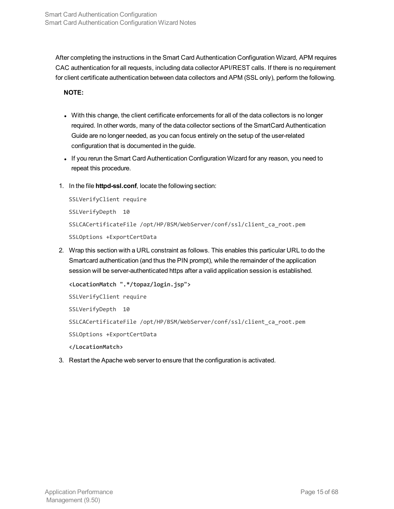After completing the instructions in the Smart Card Authentication Configuration Wizard, APM requires CAC authentication for all requests, including data collector API/REST calls. If there is no requirement for client certificate authentication between data collectors and APM (SSL only), perform the following.

**NOTE:**

- With this change, the client certificate enforcements for all of the data collectors is no longer required. In other words, many of the data collector sections of the SmartCard Authentication Guide are no longer needed, as you can focus entirely on the setup of the user-related configuration that is documented in the guide.
- If you rerun the Smart Card Authentication Configuration Wizard for any reason, you need to repeat this procedure.
- 1. In the file **httpd-ssl.conf**, locate the following section:

```
SSLVerifyClient require
SSLVerifyDepth 10
SSLCACertificateFile /opt/HP/BSM/WebServer/conf/ssl/client_ca_root.pem
SSLOptions +ExportCertData
```
2. Wrap this section with a URL constraint as follows. This enables this particular URL to do the Smartcard authentication (and thus the PIN prompt), while the remainder of the application session will be server-authenticated https after a valid application session is established.

```
<LocationMatch ".*/topaz/login.jsp">
SSLVerifyClient require
SSLVerifyDepth 10
SSLCACertificateFile /opt/HP/BSM/WebServer/conf/ssl/client_ca_root.pem
SSLOptions +ExportCertData
</LocationMatch>
```
3. Restart the Apache web server to ensure that the configuration is activated.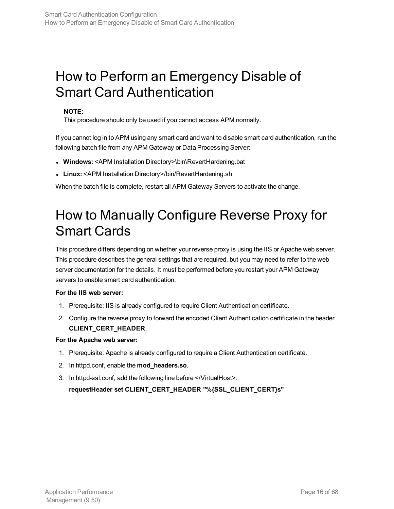### <span id="page-15-0"></span>How to Perform an Emergency Disable of Smart Card Authentication

#### **NOTE:**

This procedure should only be used if you cannot access APM normally.

If you cannot log in to APM using any smart card and want to disable smart card authentication, run the following batch file from any APM Gateway or Data Processing Server:

- <sup>l</sup> **Windows:** <APM Installation Directory>\bin\RevertHardening.bat
- <span id="page-15-1"></span>• Linux: <APM Installation Directory>/bin/RevertHardening.sh

When the batch file is complete, restart all APM Gateway Servers to activate the change.

## How to Manually Configure Reverse Proxy for Smart Cards

This procedure differs depending on whether your reverse proxy is using the IIS or Apache web server. This procedure describes the general settings that are required, but you may need to refer to the web server documentation for the details. It must be performed before you restart your APM Gateway servers to enable smart card authentication.

#### **For the IIS web server:**

- 1. Prerequisite: IIS is already configured to require Client Authentication certificate.
- 2. Configure the reverse proxy to forward the encoded Client Authentication certificate in the header **CLIENT\_CERT\_HEADER**.

#### **For the Apache web server:**

- 1. Prerequisite: Apache is already configured to require a Client Authentication certificate.
- 2. In httpd.conf, enable the **mod\_headers.so**.
- 3. In httpd-ssl.conf, add the following line before </VirtualHost>: **requestHeader set CLIENT\_CERT\_HEADER "%{SSL\_CLIENT\_CERT}s"**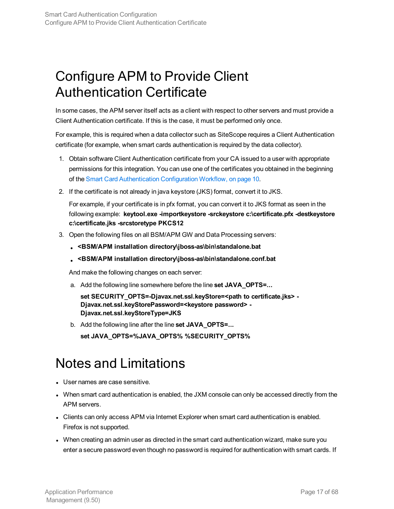## <span id="page-16-0"></span>Configure APM to Provide Client Authentication Certificate

In some cases, the APM server itself acts as a client with respect to other servers and must provide a Client Authentication certificate. If this is the case, it must be performed only once.

For example, this is required when a data collector such as SiteScope requires a Client Authentication certificate (for example, when smart cards authentication is required by the data collector).

- 1. Obtain software Client Authentication certificate from your CA issued to a user with appropriate permissions for this integration. You can use one of the certificates you obtained in the beginning of the Smart Card [Authentication](#page-9-0) Configuration Workflow, on page 10.
- 2. If the certificate is not already in java keystore (JKS) format, convert it to JKS.

For example, if your certificate is in pfx format, you can convert it to JKS format as seen in the following example: **keytool.exe -importkeystore -srckeystore c:\certificate.pfx -destkeystore c:\certificate.jks -srcstoretype PKCS12**

- 3. Open the following files on all BSM/APM GW and Data Processing servers:
	- <sup>l</sup> **<BSM/APM installation directory\jboss-as\bin\standalone.bat**
	- <sup>l</sup> **<BSM/APM installation directory\jboss-as\bin\standalone.conf.bat**

And make the following changes on each server:

a. Add the following line somewhere before the line **set JAVA\_OPTS=...**

**set SECURITY\_OPTS=-Djavax.net.ssl.keyStore=<path to certificate.jks> - Djavax.net.ssl.keyStorePassword=<keystore password> - Djavax.net.ssl.keyStoreType=JKS**

b. Add the following line after the line **set JAVA\_OPTS=...**

**set JAVA\_OPTS=%JAVA\_OPTS% %SECURITY\_OPTS%**

### <span id="page-16-1"></span>Notes and Limitations

- User names are case sensitive.
- When smart card authentication is enabled, the JXM console can only be accessed directly from the APM servers.
- Clients can only access APM via Internet Explorer when smart card authentication is enabled. Firefox is not supported.
- When creating an admin user as directed in the smart card authentication wizard, make sure you enter a secure password even though no password is required for authentication with smart cards. If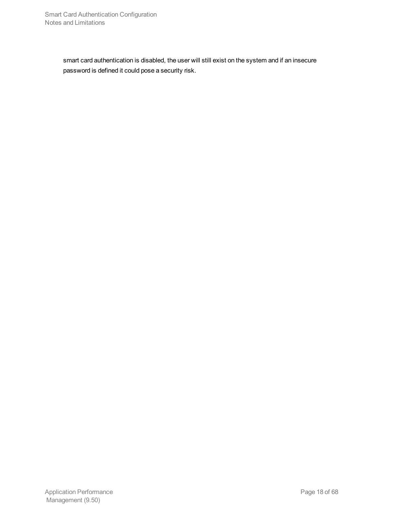smart card authentication is disabled, the user will still exist on the system and if an insecure password is defined it could pose a security risk.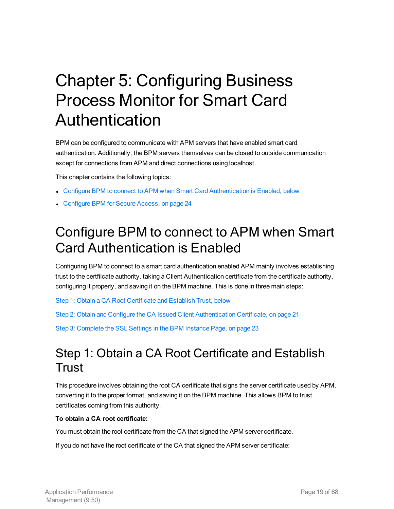# <span id="page-18-0"></span>Chapter 5: Configuring Business Process Monitor for Smart Card Authentication

BPM can be configured to communicate with APM servers that have enabled smart card authentication. Additionally, the BPM servers themselves can be closed to outside communication except for connections from APM and direct connections using localhost.

This chapter contains the following topics:

- Configure BPM to connect to APM when Smart Card [Authentication](#page-18-1) is Enabled, below
- <span id="page-18-1"></span>• [Configure](#page-23-0) BPM for Secure Access, on page 24

### Configure BPM to connect to APM when Smart Card Authentication is Enabled

Configuring BPM to connect to a smart card authentication enabled APM mainly involves establishing trust to the certfiicate authority, taking a Client Authentication certificate from the certificate authority, configuring it properly, and saving it on the BPM machine. This is done in three main steps:

Step 1: Obtain a CA Root [Certificate](#page-18-2) and Establish Trust, below

<span id="page-18-2"></span>Step 2: Obtain and Configure the CA Issued Client [Authentication](#page-20-0) Certificate, on page 21

Step 3: Complete the SSL Settings in the [BPM Instance](#page-22-0) Page, on page 23

### Step 1: Obtain a CA Root Certificate and Establish Trust

This procedure involves obtaining the root CA certificate that signs the server certificate used by APM, converting it to the proper format, and saving it on the BPM machine. This allows BPM to trust certificates coming from this authority.

#### **To obtain a CA root certificate:**

You must obtain the root certificate from the CA that signed the APM server certificate.

If you do not have the root certificate of the CA that signed the APM server certificate: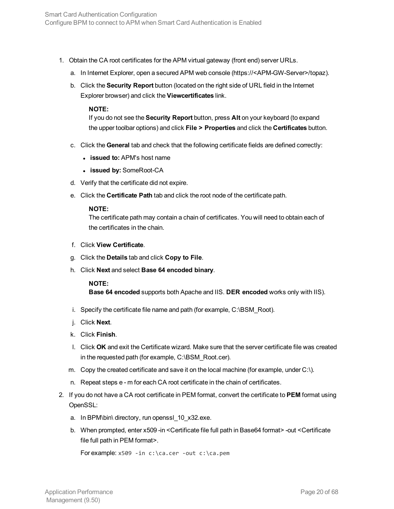- 1. Obtain the CA root certificates for the APM virtual gateway (front end) server URLs.
	- a. In Internet Explorer, open a secured APM web console (https://<APM-GW-Server>/topaz).
	- b. Click the **Security Report** button (located on the right side of URL field in the Internet Explorer browser) and click the **Viewcertificates** link.

#### **NOTE:**

If you do not see the **Security Report** button, press **Alt** on your keyboard (to expand the upper toolbar options) and click **File > Properties** and click the **Certificates** button.

- c. Click the **General** tab and check that the following certificate fields are defined correctly:
	- <sup>l</sup> **issued to:** APM's host name
	- <sup>l</sup> **issued by:** SomeRoot-CA
- d. Verify that the certificate did not expire.
- e. Click the **Certificate Path** tab and click the root node of the certificate path.

#### **NOTE:**

The certificate path may contain a chain of certificates. You will need to obtain each of the certificates in the chain.

- f. Click **View Certificate**.
- g. Click the **Details** tab and click **Copy to File**.
- h. Click **Next** and select **Base 64 encoded binary**.

#### **NOTE:**

**Base 64 encoded** supports both Apache and IIS. **DER encoded** works only with IIS).

- i. Specify the certificate file name and path (for example, C:\BSM\_Root).
- j. Click **Next**.
- k. Click **Finish**.
- l. Click **OK** and exit the Certificate wizard. Make sure that the server certificate file was created in the requested path (for example, C:\BSM\_Root.cer).
- m. Copy the created certificate and save it on the local machine (for example, under C:\).
- n. Repeat steps e m for each CA root certificate in the chain of certificates.
- 2. If you do not have a CA root certificate in PEM format, convert the certificate to **PEM** format using OpenSSL:
	- a. In BPM\bin\ directory, run openssl\_10\_x32.exe.
	- b. When prompted, enter x509 -in <Certificate file full path in Base64 format> -out <Certificate file full path in PEM format>.

```
For example: x509 -in c:\ca.cer -out c:\ca.pem
```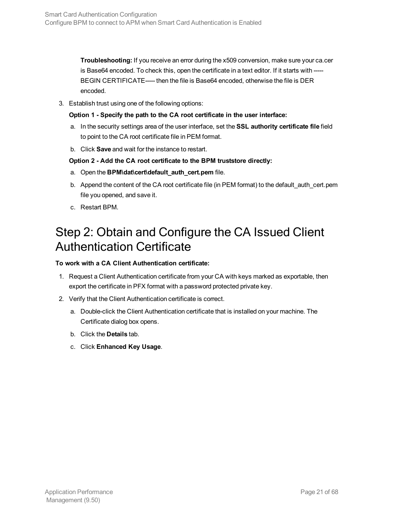**Troubleshooting:** If you receive an error during the x509 conversion, make sure your ca.cer is Base64 encoded. To check this, open the certificate in a text editor. If it starts with ----- BEGIN CERTIFICATE----- then the file is Base64 encoded, otherwise the file is DER encoded.

3. Establish trust using one of the following options:

**Option 1 - Specify the path to the CA root certificate in the user interface:**

- a. In the security settings area of the user interface, set the **SSL authority certificate file** field to point to the CA root certificate file in PEM format.
- b. Click **Save** and wait for the instance to restart.

#### **Option 2 - Add the CA root certificate to the BPM truststore directly:**

- a. Open the **BPM\dat\cert\default\_auth\_cert.pem** file.
- b. Append the content of the CA root certificate file (in PEM format) to the default auth cert.pem file you opened, and save it.
- <span id="page-20-0"></span>c. Restart BPM.

### Step 2: Obtain and Configure the CA Issued Client Authentication Certificate

#### **To work with a CA Client Authentication certificate:**

- 1. Request a Client Authentication certificate from your CA with keys marked as exportable, then export the certificate in PFX format with a password protected private key.
- 2. Verify that the Client Authentication certificate is correct.
	- a. Double-click the Client Authentication certificate that is installed on your machine. The Certificate dialog box opens.
	- b. Click the **Details** tab.
	- c. Click **Enhanced Key Usage**.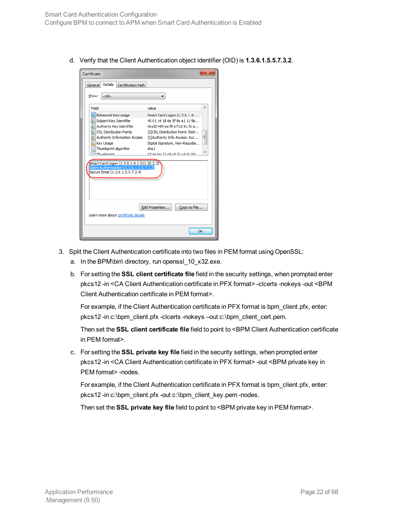d. Verify that the Client Authentication object identifier (OID) is **1.3.6.1.5.5.7.3.2**.

| Certificate                                                                                                                                                                                                                                                                                                                                                                                                                                                                                                                                                                                                                    | х                                     |  |
|--------------------------------------------------------------------------------------------------------------------------------------------------------------------------------------------------------------------------------------------------------------------------------------------------------------------------------------------------------------------------------------------------------------------------------------------------------------------------------------------------------------------------------------------------------------------------------------------------------------------------------|---------------------------------------|--|
| Details<br>Certification Path<br>General                                                                                                                                                                                                                                                                                                                                                                                                                                                                                                                                                                                       |                                       |  |
| Show:<br>$<$ All $>$                                                                                                                                                                                                                                                                                                                                                                                                                                                                                                                                                                                                           |                                       |  |
| Field<br>Value<br>Enhanced Key Usage<br>Smart Card Logon (1.3.6.1.4<br>40.01.14.18.6e.5f 8e.a1.11.9b<br>Subject Key Identifier<br>द्विः Authority Key Identifier<br>KeyID=85 ea f8 e7 b2 61 fb a<br><b>Tel CRL Distribution Points</b><br>[1]CRL Distribution Point: Distr<br>Ξ<br><b>TE Authority Information Access</b><br>[1] Authority Info Access: Acc<br><b>Key Usage</b><br>Digital Signature, Non-Repudia<br>Thumbprint algorithm<br>sha1<br>Thumhnrint<br>67 ae ha 12 d4 c9 21 c4 d1 94<br>Smart Card Logon (1.3.6.1.4.1.311.20.2.2)<br>Client Authentication (1.3.6.1.5.5.7.3.2)<br>Secure Email (1.3.6.1.5.5.7.3.4) |                                       |  |
| Learn more about certificate details                                                                                                                                                                                                                                                                                                                                                                                                                                                                                                                                                                                           | Edit Properties<br>Copy to File<br>OK |  |

- 3. Split the Client Authentication certificate into two files in PEM format using OpenSSL:
	- a. In the BPM\bin\ directory, run openssl\_10\_x32.exe.
	- b. For setting the **SSL client certificate file** field in the security settings, when prompted enter pkcs12 -in <CA Client Authentication certificate in PFX format> -clcerts -nokeys -out <BPM Client Authentication certificate in PEM format>.

For example, if the Client Authentication certificate in PFX format is bpm\_client.pfx, enter: pkcs12 -in c:\bpm\_client.pfx -clcerts -nokeys –out c:\bpm\_client\_cert.pem.

Then set the **SSL client certificate file** field to point to <BPM Client Authentication certificate in PEM format>.

c. For setting the **SSL private key file** field in the security settings, when prompted enter pkcs12 -in <CA Client Authentication certificate in PFX format> -out <BPM private key in PEM format> -nodes.

For example, if the Client Authentication certificate in PFX format is bpm\_client.pfx, enter: pkcs12 -in c:\bpm\_client.pfx -out c:\bpm\_client\_key.pem -nodes.

Then set the **SSL private key file** field to point to <BPM private key in PEM format>.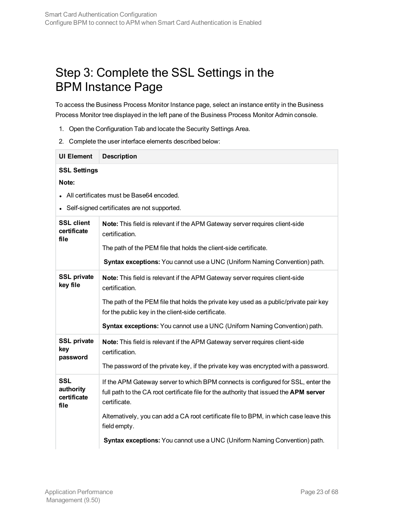### <span id="page-22-0"></span>Step 3: Complete the SSL Settings in the BPM Instance Page

To access the Business Process Monitor Instance page, select an instance entity in the Business Process Monitor tree displayed in the left pane of the Business Process Monitor Admin console.

- 1. Open the Configuration Tab and locate the Security Settings Area.
- 2. Complete the user interface elements described below:

| • All certificates must be Base64 encoded.                                                                                                                                                                                                                                                                                                                                        |
|-----------------------------------------------------------------------------------------------------------------------------------------------------------------------------------------------------------------------------------------------------------------------------------------------------------------------------------------------------------------------------------|
| Self-signed certificates are not supported.                                                                                                                                                                                                                                                                                                                                       |
| Note: This field is relevant if the APM Gateway server requires client-side<br>certification.<br>The path of the PEM file that holds the client-side certificate.<br>Syntax exceptions: You cannot use a UNC (Uniform Naming Convention) path.                                                                                                                                    |
| Note: This field is relevant if the APM Gateway server requires client-side<br>certification.<br>The path of the PEM file that holds the private key used as a public/private pair key<br>for the public key in the client-side certificate.<br>Syntax exceptions: You cannot use a UNC (Uniform Naming Convention) path.                                                         |
| Note: This field is relevant if the APM Gateway server requires client-side<br>certification.<br>The password of the private key, if the private key was encrypted with a password.                                                                                                                                                                                               |
| If the APM Gateway server to which BPM connects is configured for SSL, enter the<br>full path to the CA root certificate file for the authority that issued the APM server<br>certificate.<br>Alternatively, you can add a CA root certificate file to BPM, in which case leave this<br>field empty.<br>Syntax exceptions: You cannot use a UNC (Uniform Naming Convention) path. |
|                                                                                                                                                                                                                                                                                                                                                                                   |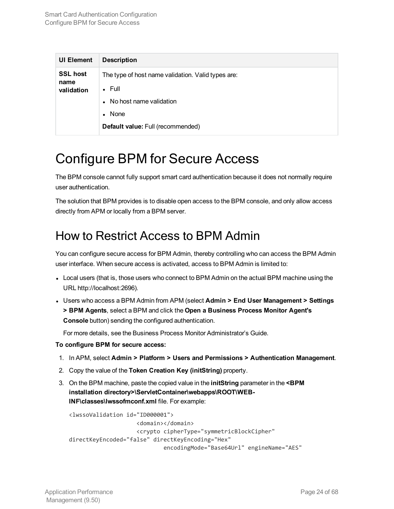| <b>UI Element</b>       | <b>Description</b>                                 |
|-------------------------|----------------------------------------------------|
| <b>SSL host</b><br>name | The type of host name validation. Valid types are: |
| validation              | $\bullet$ Full                                     |
|                         | No host name validation                            |
|                         | None<br>$\bullet$                                  |
|                         | Default value: Full (recommended)                  |

### <span id="page-23-0"></span>Configure BPM for Secure Access

The BPM console cannot fully support smart card authentication because it does not normally require user authentication.

The solution that BPM provides is to disable open access to the BPM console, and only allow access directly from APM or locally from a BPM server.

### <span id="page-23-1"></span>How to Restrict Access to BPM Admin

You can configure secure access for BPM Admin, thereby controlling who can access the BPM Admin user interface. When secure access is activated, access to BPM Admin is limited to:

- Local users (that is, those users who connect to BPM Admin on the actual BPM machine using the URL http://localhost:2696).
- <sup>l</sup> Users who access a BPM Admin from APM (select **Admin > End User Management > Settings > BPM Agents**, select a BPM and click the **Open a Business Process Monitor Agent's Console** button) sending the configured authentication.

For more details, see the Business Process Monitor Administrator's Guide.

#### **To configure BPM for secure access:**

- 1. In APM, select **Admin > Platform > Users and Permissions > Authentication Management**.
- 2. Copy the value of the **Token Creation Key (initString)** property.
- 3. On the BPM machine, paste the copied value in the **initString** parameter in the **<BPM installation directory>\ServletContainer\webapps\ROOT\WEB-INF\classes\lwssofmconf.xml** file. For example:

```
<lwssoValidation id="ID000001">
                    <domain></domain>
                    <crypto cipherType="symmetricBlockCipher"
directKeyEncoded="false" directKeyEncoding="Hex"
                            encodingMode="Base64Url" engineName="AES"
```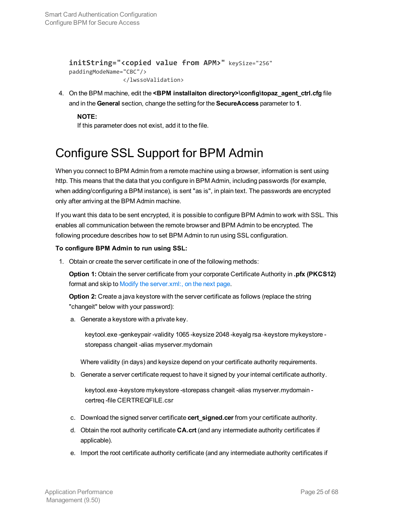```
initString="<copied value from APM>" keySize="256"
paddingModeName="CBC"/>
              </lwssoValidation>
```
4. On the BPM machine, edit the **<BPM installaiton directory>\config\topaz\_agent\_ctrl.cfg** file and in the **General** section, change the setting for the **SecureAccess** parameter to **1**.

**NOTE:**

If this parameter does not exist, add it to the file.

### <span id="page-24-0"></span>Configure SSL Support for BPM Admin

When you connect to BPM Admin from a remote machine using a browser, information is sent using http. This means that the data that you configure in BPM Admin, including passwords (for example, when adding/configuring a BPM instance), is sent "as is", in plain text. The passwords are encrypted only after arriving at the BPM Admin machine.

If you want this data to be sent encrypted, it is possible to configure BPM Admin to work with SSL. This enables all communication between the remote browser and BPM Admin to be encrypted. The following procedure describes how to set BPM Admin to run using SSL configuration.

#### **To configure BPM Admin to run using SSL:**

1. Obtain or create the server certificate in one of the following methods:

**Option 1:** Obtain the server certificate from your corporate Certificate Authority in **.pfx (PKCS12)** format and skip to Modify the [server.xml:,](#page-25-0) on the next page.

**Option 2:** Create a java keystore with the server certificate as follows (replace the string "changeit" below with your password):

a. Generate a keystore with a private key.

keytool.exe -genkeypair -validity 1065 -keysize 2048 -keyalg rsa -keystore mykeystore storepass changeit -alias myserver.mydomain

Where validity (in days) and keysize depend on your certificate authority requirements.

b. Generate a server certificate request to have it signed by your internal certificate authority.

keytool.exe -keystore mykeystore -storepass changeit -alias myserver.mydomain certreq -file CERTREQFILE.csr

- c. Download the signed server certificate **cert\_signed.cer** from your certificate authority.
- d. Obtain the root authority certificate **CA.crt** (and any intermediate authority certificates if applicable).
- e. Import the root certificate authority certificate (and any intermediate authority certificates if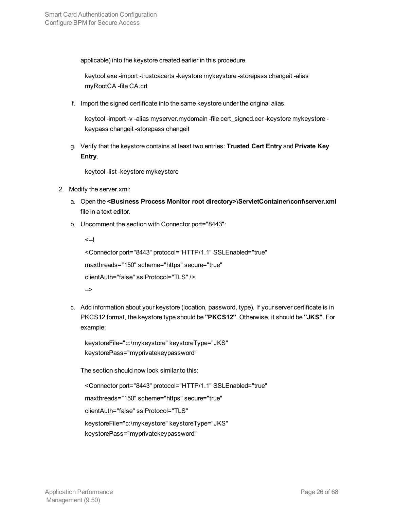applicable) into the keystore created earlier in this procedure.

keytool.exe -import -trustcacerts -keystore mykeystore -storepass changeit -alias myRootCA -file CA.crt

f. Import the signed certificate into the same keystore under the original alias.

keytool -import -v -alias myserver.mydomain -file cert\_signed.cer -keystore mykeystore keypass changeit -storepass changeit

g. Verify that the keystore contains at least two entries: **Trusted Cert Entry** and **Private Key Entry**.

keytool -list -keystore mykeystore

- <span id="page-25-0"></span>2. Modify the server.xml:
	- a. Open the **<Business Process Monitor root directory>\ServletContainer\conf\server.xml** file in a text editor.
	- b. Uncomment the section with Connector port="8443":

```
\leftarrow!
<Connector port="8443" protocol="HTTP/1.1" SSLEnabled="true"
maxthreads="150" scheme="https" secure="true"
clientAuth="false" sslProtocol="TLS" />
-->
```
c. Add information about your keystore (location, password, type). If your server certificate is in PKCS12 format, the keystore type should be **"PKCS12"**. Otherwise, it should be **"JKS"**. For example:

keystoreFile="c:\mykeystore" keystoreType="JKS" keystorePass="myprivatekeypassword"

The section should now look similar to this:

<Connector port="8443" protocol="HTTP/1.1" SSLEnabled="true" maxthreads="150" scheme="https" secure="true" clientAuth="false" sslProtocol="TLS" keystoreFile="c:\mykeystore" keystoreType="JKS" keystorePass="myprivatekeypassword"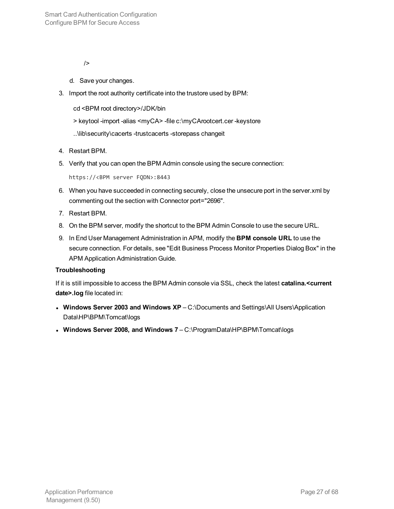/>

- d. Save your changes.
- 3. Import the root authority certificate into the trustore used by BPM:
	- cd <BPM root directory>/JDK/bin
	- > keytool -import -alias <myCA> -file c:\myCArootcert.cer -keystore
	- ..\lib\security\cacerts -trustcacerts -storepass changeit
- 4. Restart BPM.
- 5. Verify that you can open the BPM Admin console using the secure connection:

```
https://<BPM server FQDN>:8443
```
- 6. When you have succeeded in connecting securely, close the unsecure port in the server.xml by commenting out the section with Connector port="2696".
- 7. Restart BPM.
- 8. On the BPM server, modify the shortcut to the BPM Admin Console to use the secure URL.
- 9. In End User Management Administration in APM, modify the **BPM console URL** to use the secure connection. For details, see "Edit Business Process Monitor Properties Dialog Box" in the APM Application Administration Guide.

#### **Troubleshooting**

If it is still impossible to access the BPM Admin console via SSL, check the latest **catalina.<current date>.log** file located in:

- <sup>l</sup> **Windows Server 2003 and Windows XP** C:\Documents and Settings\All Users\Application Data\HP\BPM\Tomcat\logs
- <sup>l</sup> **Windows Server 2008, and Windows 7** C:\ProgramData\HP\BPM\Tomcat\logs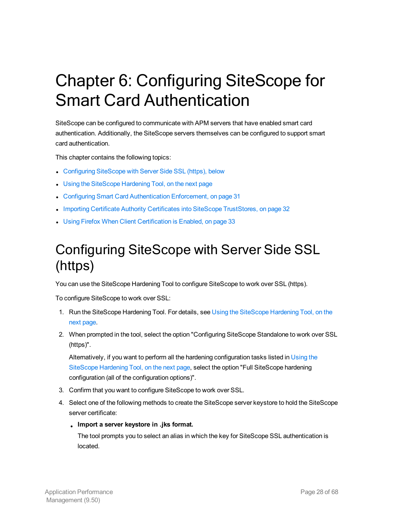# <span id="page-27-0"></span>Chapter 6: Configuring SiteScope for Smart Card Authentication

SiteScope can be configured to communicate with APM servers that have enabled smart card authentication. Additionally, the SiteScope servers themselves can be configured to support smart card authentication.

This chapter contains the following topics:

- [Configuring](#page-27-1) SiteScope with Server Side SSL (https), below
- Using the [SiteScope](#page-28-0) Hardening Tool, on the next page
- Configuring Smart Card [Authentication](#page-30-0) Enforcement, on page 31
- **Importing Certificate Authority Certificates into SiteScope [TrustStores,](#page-31-1) on page 32**
- <span id="page-27-1"></span>**Journal Price Firefox When Client [Certification](#page-32-0) is Enabled, on page 33**

## Configuring SiteScope with Server Side SSL (https)

You can use the SiteScope Hardening Tool to configure SiteScope to work over SSL (https).

To configure SiteScope to work over SSL:

- 1. Run the SiteScope Hardening Tool. For details, see Using the [SiteScope](#page-28-0) Hardening Tool, on the next [page](#page-28-0).
- 2. When prompted in the tool, select the option "Configuring SiteScope Standalone to work over SSL (https)".

Alternatively, if you want to perform all the hardening configuration tasks listed in [Using](#page-28-0) the [SiteScope](#page-28-0) Hardening Tool, on the next page, select the option "Full SiteScope hardening configuration (all of the configuration options)".

- 3. Confirm that you want to configure SiteScope to work over SSL.
- 4. Select one of the following methods to create the SiteScope server keystore to hold the SiteScope server certificate:
	- <sup>l</sup> **Import a server keystore in .jks format.**

The tool prompts you to select an alias in which the key for SiteScope SSL authentication is located.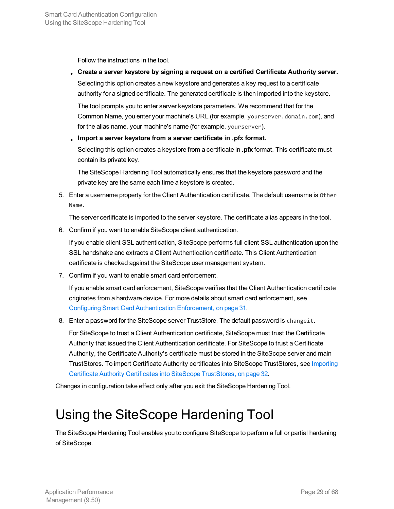Follow the instructions in the tool.

<sup>l</sup> **Create a server keystore by signing a request on a certified Certificate Authority server.** Selecting this option creates a new keystore and generates a key request to a certificate authority for a signed certificate. The generated certificate is then imported into the keystore.

The tool prompts you to enter server keystore parameters. We recommend that for the Common Name, you enter your machine's URL (for example, yourserver.domain.com), and for the alias name, your machine's name (for example, yourserver).

<sup>l</sup> **Import a server keystore from a server certificate in .pfx format.**

Selecting this option creates a keystore from a certificate in **.pfx** format. This certificate must contain its private key.

The SiteScope Hardening Tool automatically ensures that the keystore password and the private key are the same each time a keystore is created.

5. Enter a username property for the Client Authentication certificate. The default username is Other Name.

The server certificate is imported to the server keystore. The certificate alias appears in the tool.

6. Confirm if you want to enable SiteScope client authentication.

If you enable client SSL authentication, SiteScope performs full client SSL authentication upon the SSL handshake and extracts a Client Authentication certificate. This Client Authentication certificate is checked against the SiteScope user management system.

7. Confirm if you want to enable smart card enforcement.

If you enable smart card enforcement, SiteScope verifies that the Client Authentication certificate originates from a hardware device. For more details about smart card enforcement, see Configuring Smart Card [Authentication](#page-30-0) Enforcement, on page 31.

8. Enter a password for the SiteScope server TrustStore. The default password is changeit.

For SiteScope to trust a Client Authentication certificate, SiteScope must trust the Certificate Authority that issued the Client Authentication certificate. For SiteScope to trust a Certificate Authority, the Certificate Authority's certificate must be stored in the SiteScope server and main TrustStores. To import Certificate Authority certificates into SiteScope TrustStores, see [Importing](#page-31-1) Certificate Authority Certificates into SiteScope [TrustStores,](#page-31-1) on page 32.

<span id="page-28-0"></span>Changes in configuration take effect only after you exit the SiteScope Hardening Tool.

## Using the SiteScope Hardening Tool

The SiteScope Hardening Tool enables you to configure SiteScope to perform a full or partial hardening of SiteScope.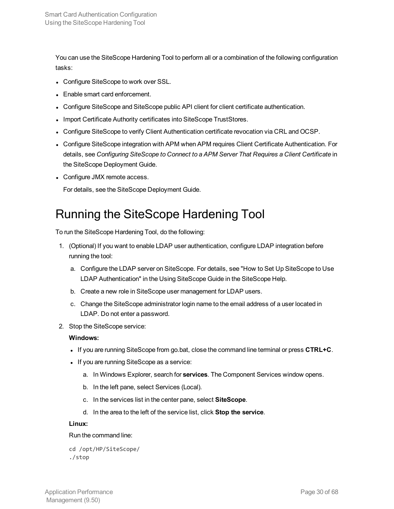You can use the SiteScope Hardening Tool to perform all or a combination of the following configuration tasks:

- Configure SiteScope to work over SSL.
- Enable smart card enforcement.
- Configure SiteScope and SiteScope public API client for client certificate authentication.
- Import Certificate Authority certificates into SiteScope TrustStores.
- Configure SiteScope to verify Client Authentication certificate revocation via CRL and OCSP.
- Configure SiteScope integration with APM when APM requires Client Certificate Authentication. For details, see *Configuring SiteScope to Connect to a APM Server That Requires a Client Certificate* in the SiteScope Deployment Guide.
- Configure JMX remote access.

<span id="page-29-0"></span>For details, see the SiteScope Deployment Guide.

### Running the SiteScope Hardening Tool

To run the SiteScope Hardening Tool, do the following:

- 1. (Optional) If you want to enable LDAP user authentication, configure LDAP integration before running the tool:
	- a. Configure the LDAP server on SiteScope. For details, see "How to Set Up SiteScope to Use LDAP Authentication" in the Using SiteScope Guide in the SiteScope Help.
	- b. Create a new role in SiteScope user management for LDAP users.
	- c. Change the SiteScope administrator login name to the email address of a user located in LDAP. Do not enter a password.
- 2. Stop the SiteScope service:

#### **Windows:**

- <sup>l</sup> If you are running SiteScope from go.bat, close the command line terminal or press **CTRL+C**.
- If you are running SiteScope as a service:
	- a. In Windows Explorer, search for **services**. The Component Services window opens.
	- b. In the left pane, select Services (Local).
	- c. In the services list in the center pane, select **SiteScope**.
	- d. In the area to the left of the service list, click **Stop the service**.

#### **Linux:**

Run the command line:

cd /opt/HP/SiteScope/ ./stop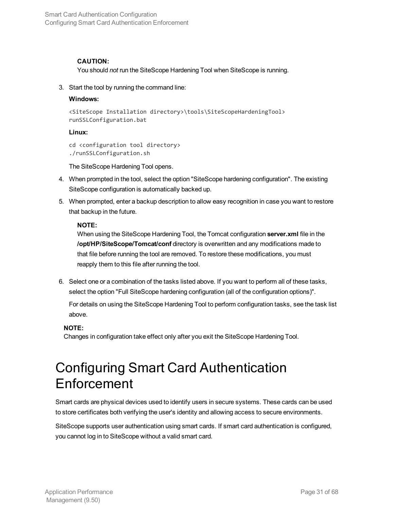#### **CAUTION:**

You should *not* run the SiteScope Hardening Tool when SiteScope is running.

3. Start the tool by running the command line:

#### **Windows:**

```
<SiteScope Installation directory>\tools\SiteScopeHardeningTool>
runSSLConfiguration.bat
```
#### **Linux:**

```
cd <configuration tool directory>
./runSSLConfiguration.sh
```
The SiteScope Hardening Tool opens.

- 4. When prompted in the tool, select the option "SiteScope hardening configuration". The existing SiteScope configuration is automatically backed up.
- 5. When prompted, enter a backup description to allow easy recognition in case you want to restore that backup in the future.

#### **NOTE:**

When using the SiteScope Hardening Tool, the Tomcat configuration **server.xml** file in the **/opt/HP/SiteScope/Tomcat/conf** directory is overwritten and any modifications made to that file before running the tool are removed. To restore these modifications, you must reapply them to this file after running the tool.

6. Select one or a combination of the tasks listed above. If you want to perform all of these tasks, select the option "Full SiteScope hardening configuration (all of the configuration options)".

For details on using the SiteScope Hardening Tool to perform configuration tasks, see the task list above.

#### **NOTE:**

<span id="page-30-0"></span>Changes in configuration take effect only after you exit the SiteScope Hardening Tool.

### Configuring Smart Card Authentication Enforcement

Smart cards are physical devices used to identify users in secure systems. These cards can be used to store certificates both verifying the user's identity and allowing access to secure environments.

SiteScope supports user authentication using smart cards. If smart card authentication is configured, you cannot log in to SiteScope without a valid smart card.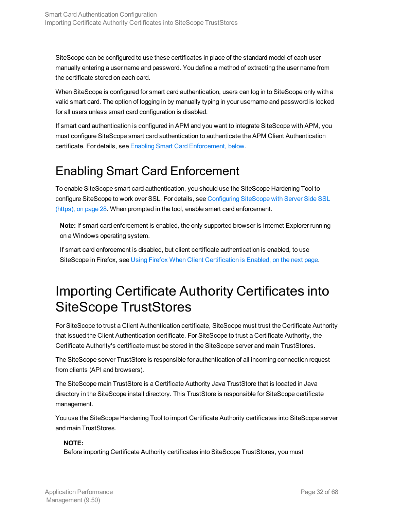SiteScope can be configured to use these certificates in place of the standard model of each user manually entering a user name and password. You define a method of extracting the user name from the certificate stored on each card.

When SiteScope is configured for smart card authentication, users can log in to SiteScope only with a valid smart card. The option of logging in by manually typing in your username and password is locked for all users unless smart card configuration is disabled.

If smart card authentication is configured in APM and you want to integrate SiteScope with APM, you must configure SiteScope smart card authentication to authenticate the APM Client Authentication certificate. For details, see Enabling Smart Card [Enforcement,](#page-31-0) below.

### <span id="page-31-0"></span>Enabling Smart Card Enforcement

To enable SiteScope smart card authentication, you should use the SiteScope Hardening Tool to configure SiteScope to work over SSL. For details, see [Configuring](#page-27-1) SiteScope with Server Side SSL [\(https\),](#page-27-1) on page 28. When prompted in the tool, enable smart card enforcement.

**Note:** If smart card enforcement is enabled, the only supported browser is Internet Explorer running on a Windows operating system.

If smart card enforcement is disabled, but client certificate authentication is enabled, to use SiteScope in Firefox, see Using Firefox When Client [Certification](#page-32-0) is Enabled, on the next page.

## <span id="page-31-1"></span>Importing Certificate Authority Certificates into SiteScope TrustStores

For SiteScope to trust a Client Authentication certificate, SiteScope must trust the Certificate Authority that issued the Client Authentication certificate. For SiteScope to trust a Certificate Authority, the Certificate Authority's certificate must be stored in the SiteScope server and main TrustStores.

The SiteScope server TrustStore is responsible for authentication of all incoming connection request from clients (API and browsers).

The SiteScope main TrustStore is a Certificate Authority Java TrustStore that is located in Java directory in the SiteScope install directory. This TrustStore is responsible for SiteScope certificate management.

You use the SiteScope Hardening Tool to import Certificate Authority certificates into SiteScope server and main TrustStores.

#### **NOTE:**

Before importing Certificate Authority certificates into SiteScope TrustStores, you must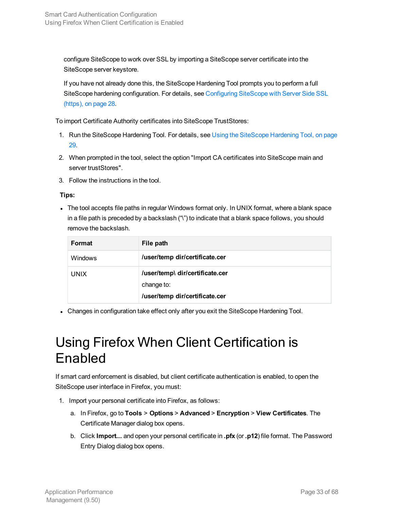configure SiteScope to work over SSL by importing a SiteScope server certificate into the SiteScope server keystore.

If you have not already done this, the SiteScope Hardening Tool prompts you to perform a full SiteScope hardening configuration. For details, see [Configuring](#page-27-1) SiteScope with Server Side SSL [\(https\),](#page-27-1) on page 28.

To import Certificate Authority certificates into SiteScope TrustStores:

- 1. Run the SiteScope Hardening Tool. For details, see Using the [SiteScope](#page-28-0) Hardening Tool, on page [29.](#page-28-0)
- 2. When prompted in the tool, select the option "Import CA certificates into SiteScope main and server trustStores".
- 3. Follow the instructions in the tool.

#### **Tips:**

• The tool accepts file paths in regular Windows format only. In UNIX format, where a blank space in a file path is preceded by a backslash ("\") to indicate that a blank space follows, you should remove the backslash.

| Format         | File path                       |
|----------------|---------------------------------|
| <b>Windows</b> | /user/temp dir/certificate.cer  |
| <b>UNIX</b>    | /user/temp\ dir/certificate.cer |
|                | change to:                      |
|                | /user/temp dir/certificate.cer  |

<span id="page-32-0"></span>• Changes in configuration take effect only after you exit the SiteScope Hardening Tool.

## Using Firefox When Client Certification is Enabled

If smart card enforcement is disabled, but client certificate authentication is enabled, to open the SiteScope user interface in Firefox, you must:

- 1. Import your personal certificate into Firefox, as follows:
	- a. In Firefox, go to **Tools** > **Options** > **Advanced** > **Encryption** > **View Certificates**. The Certificate Manager dialog box opens.
	- b. Click **Import...** and open your personal certificate in **.pfx** (or **.p12**) file format. The Password Entry Dialog dialog box opens.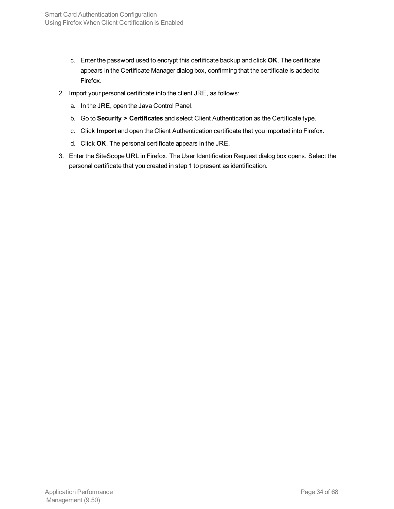- c. Enter the password used to encrypt this certificate backup and click **OK**. The certificate appears in the Certificate Manager dialog box, confirming that the certificate is added to Firefox.
- 2. Import your personal certificate into the client JRE, as follows:
	- a. In the JRE, open the Java Control Panel.
	- b. Go to **Security > Certificates** and select Client Authentication as the Certificate type.
	- c. Click **Import** and open the Client Authentication certificate that you imported into Firefox.
	- d. Click **OK**. The personal certificate appears in the JRE.
- 3. Enter the SiteScope URL in Firefox. The User Identification Request dialog box opens. Select the personal certificate that you created in step 1 to present as identification.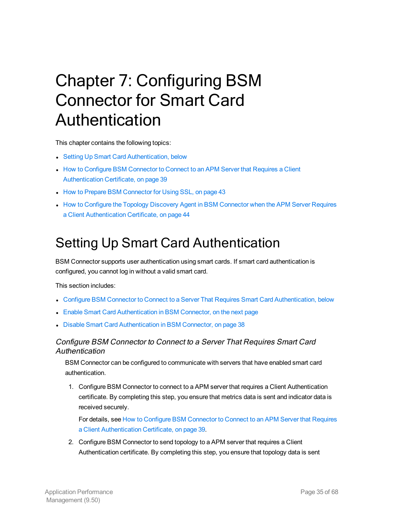# <span id="page-34-0"></span>Chapter 7: Configuring BSM Connector for Smart Card Authentication

This chapter contains the following topics:

- Setting Up Smart Card [Authentication,](#page-34-1) below
- **How to Configure BSM [Connector](#page-38-0) to Connect to an APM Server that Requires a Client** [Authentication](#page-38-0) Certificate, on page 39
- How to Prepare BSM [Connector](#page-42-0) for Using SSL, on page 43
- How to Configure the Topology Discovery Agent in BSM [Connector](#page-43-0) when the APM Server Requires a Client [Authentication](#page-43-0) Certificate, on page 44

## <span id="page-34-1"></span>Setting Up Smart Card Authentication

BSM Connector supports user authentication using smart cards. If smart card authentication is configured, you cannot log in without a valid smart card.

This section includes:

- **Configure [BSM Connector](#page-34-2) to Connect to a Server That Requires Smart Card Authentication, below**
- Enable Smart Card [Authentication](#page-35-0) in BSM Connector, on the next page
- <span id="page-34-2"></span>**Disable Smart Card [Authentication](#page-37-0) in BSM Connector, on page 38**

#### Configure BSM Connector to Connect to <sup>a</sup> Server That Requires Smart Card Authentication

BSM Connector can be configured to communicate with servers that have enabled smart card authentication.

1. Configure BSM Connector to connect to a APM server that requires a Client Authentication certificate. By completing this step, you ensure that metrics data is sent and indicator data is received securely.

For details, see How to Configure BSM [Connector](#page-38-0) to Connect to an APM Server that Requires a Client [Authentication](#page-38-0) Certificate, on page 39.

2. Configure BSM Connector to send topology to a APM server that requires a Client Authentication certificate. By completing this step, you ensure that topology data is sent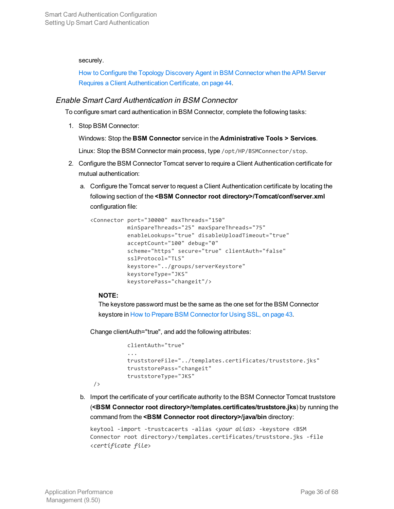#### securely.

How to Configure the Topology Discovery Agent in BSM [Connector](#page-43-0) when the APM Server Requires a Client [Authentication](#page-43-0) Certificate, on page 44.

#### <span id="page-35-0"></span>Enable Smart Card Authentication in BSM Connector

To configure smart card authentication in BSM Connector, complete the following tasks:

1. Stop BSM Connector:

Windows: Stop the **BSM Connector** service in the **Administrative Tools > Services**.

Linux: Stop the BSM Connector main process, type /opt/HP/BSMConnector/stop.

- 2. Configure the BSM Connector Tomcat server to require a Client Authentication certificate for mutual authentication:
	- a. Configure the Tomcat server to request a Client Authentication certificate by locating the following section of the **<BSM Connector root directory>/Tomcat/conf/server.xml** configuration file:

```
<Connector port="30000" maxThreads="150"
                        minSpareThreads="25" maxSpareThreads="75"
                        enableLookups="true" disableUploadTimeout="true"
                        acceptCount="100" debug="0"
                        scheme="https" secure="true" clientAuth="false"
                         sslProtocol="TLS"
                        keystore="../groups/serverKeystore"
                        keystoreType="JKS"
                        keystorePass="changeit"/>
```
#### **NOTE:**

/>

The keystore password must be the same as the one set for the BSM Connector keystore in How to Prepare BSM [Connector](#page-42-0) for Using SSL, on page 43.

Change clientAuth="true", and add the following attributes:

```
clientAuth="true"
           ...
           truststoreFile="../templates.certificates/truststore.jks"
truststorePass="changeit"
truststoreType="JKS"
```
b. Import the certificate of your certificate authority to the BSM Connector Tomcat truststore (**<BSM Connector root directory>/templates.certificates/truststore.jks**) by running the command from the **<BSM Connector root directory>/java/bin** directory:

```
keytool -import -trustcacerts -alias <your alias> -keystore <BSM
Connector root directory>/templates.certificates/truststore.jks -file
<certificate file>
```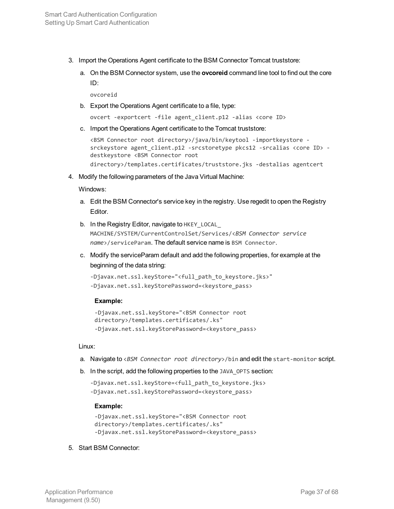- 3. Import the Operations Agent certificate to the BSM Connector Tomcat truststore:
	- a. On the BSM Connector system, use the **ovcoreid** command line tool to find out the core ID:

ovcoreid

b. Export the Operations Agent certificate to a file, type:

ovcert -exportcert -file agent\_client.p12 -alias <core ID>

c. Import the Operations Agent certificate to the Tomcat truststore:

<BSM Connector root directory>/java/bin/keytool -importkeystore srckeystore agent\_client.p12 -srcstoretype pkcs12 -srcalias <core ID> destkeystore <BSM Connector root directory>/templates.certificates/truststore.jks -destalias agentcert

4. Modify the following parameters of the Java Virtual Machine:

Windows:

- a. Edit the BSM Connector's service key in the registry. Use regedit to open the Registry Editor.
- b. In the Registry Editor, navigate to HKEY\_LOCAL\_ MACHINE/SYSTEM/CurrentControlSet/Services/<*BSM Connector service name*>/serviceParam. The default service name is BSM Connector.
- c. Modify the serviceParam default and add the following properties, for example at the beginning of the data string:

```
-Djavax.net.ssl.keyStore="<full_path_to_keystore.jks>"
-Djavax.net.ssl.keyStorePassword=<keystore_pass>
```
#### **Example:**

```
-Djavax.net.ssl.keyStore="<BSM Connector root
directory>/templates.certificates/.ks"
-Djavax.net.ssl.keyStorePassword=<keystore_pass>
```
#### Linux:

- a. Navigate to <*BSM Connector root directory*>/bin and edit the start-monitor script.
- b. In the script, add the following properties to the JAVA\_OPTS section:

```
-Djavax.net.ssl.keyStore=<full path to keystore.jks>
-Djavax.net.ssl.keyStorePassword=<keystore_pass>
```
#### **Example:**

```
-Djavax.net.ssl.keyStore="<BSM Connector root
directory>/templates.certificates/.ks"
-Djavax.net.ssl.keyStorePassword=<keystore_pass>
```
#### 5. Start BSM Connector: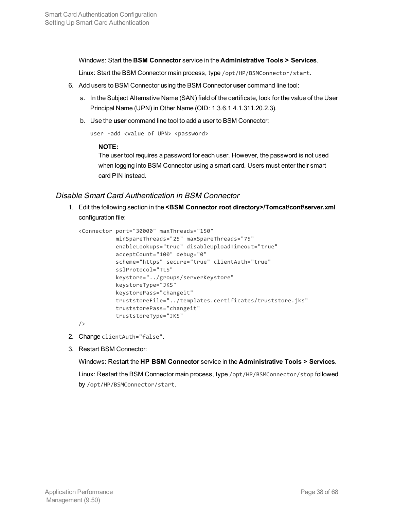Windows: Start the **BSM Connector** service in the **Administrative Tools > Services**.

Linux: Start the BSM Connector main process, type /opt/HP/BSMConnector/start.

- 6. Add users to BSM Connector using the BSM Connector **user** command line tool:
	- a. In the Subject Alternative Name (SAN) field of the certificate, look for the value of the User Principal Name (UPN) in Other Name (OID: 1.3.6.1.4.1.311.20.2.3).
	- b. Use the **user** command line tool to add a user to BSM Connector:

```
user -add <value of UPN> <password>
```
#### **NOTE:**

The user tool requires a password for each user. However, the password is not used when logging into BSM Connector using a smart card. Users must enter their smart card PIN instead.

#### <span id="page-37-0"></span>Disable Smart Card Authentication in BSM Connector

1. Edit the following section in the **<BSM Connector root directory>/Tomcat/conf/server.xml** configuration file:

```
<Connector port="30000" maxThreads="150"
                        minSpareThreads="25" maxSpareThreads="75"
                        enableLookups="true" disableUploadTimeout="true"
                        acceptCount="100" debug="0"
                        scheme="https" secure="true" clientAuth="true"
                        sslProtocol="TLS"
                        keystore="../groups/serverKeystore"
                        keystoreType="JKS"
                        keystorePass="changeit"
                        truststoreFile="../templates.certificates/truststore.jks"
             truststorePass="changeit"
             truststoreType="JKS"
```
/>

- 2. Change clientAuth="false".
- 3. Restart BSM Connector:

#### Windows: Restart the **HP BSM Connector** service in the **Administrative Tools > Services**.

Linux: Restart the BSM Connector main process, type /opt/HP/BSMConnector/stop followed by /opt/HP/BSMConnector/start.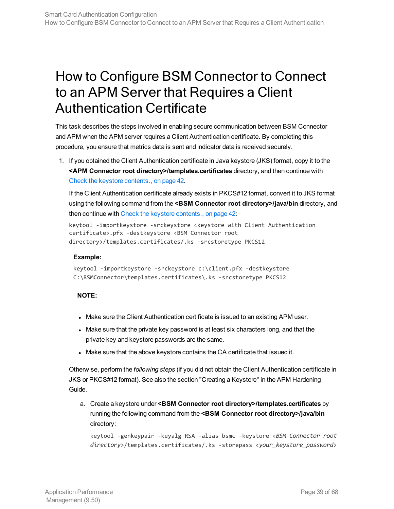## <span id="page-38-0"></span>How to Configure BSM Connector to Connect to an APM Server that Requires a Client Authentication Certificate

This task describes the steps involved in enabling secure communication between BSM Connector and APM when the APM server requires a Client Authentication certificate. By completing this procedure, you ensure that metrics data is sent and indicator data is received securely.

1. If you obtained the Client Authentication certificate in Java keystore (JKS) format, copy it to the **<APM Connector root directory>/templates.certificates** directory, and then continue with Check the keystore [contents.,](#page-41-0) on page 42.

If the Client Authentication certificate already exists in PKCS#12 format, convert it to JKS format using the following command from the **<BSM Connector root directory>/java/bin** directory, and then continue with Check the keystore [contents.,](#page-41-0) on page 42:

```
keytool -importkeystore -srckeystore <keystore with Client Authentication
certificate>.pfx -destkeystore <BSM Connector root
directory>/templates.certificates/.ks -srcstoretype PKCS12
```
#### **Example:**

```
keytool -importkeystore -srckeystore c:\client.pfx -destkeystore
C:\BSMConnector\templates.certificates\.ks -srcstoretype PKCS12
```
#### **NOTE:**

- Make sure the Client Authentication certificate is issued to an existing APM user.
- Make sure that the private key password is at least six characters long, and that the private key and keystore passwords are the same.
- Make sure that the above keystore contains the CA certificate that issued it.

Otherwise, perform the *following steps* (if you did not obtain the Client Authentication certificate in JKS or PKCS#12 format). See also the section "Creating a Keystore" in the APM Hardening Guide.

a. Create a keystore under **<BSM Connector root directory>/templates.certificates** by running the following command from the **<BSM Connector root directory>/java/bin** directory:

```
keytool -genkeypair -keyalg RSA -alias bsmc -keystore <BSM Connector root
directory>/templates.certificates/.ks -storepass <your_keystore_password>
```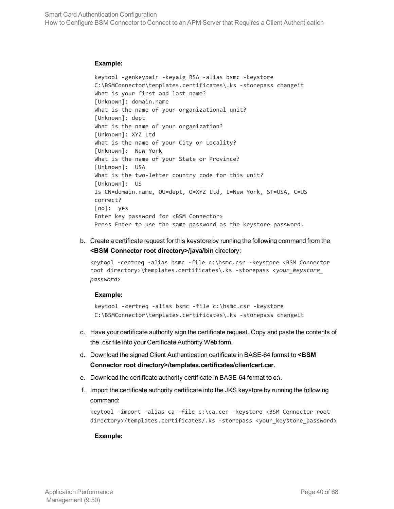#### **Example:**

```
keytool -genkeypair -keyalg RSA -alias bsmc -keystore
C:\BSMConnector\templates.certificates\.ks -storepass changeit
What is your first and last name?
[Unknown]: domain.name
What is the name of your organizational unit?
[Unknown]: dept
What is the name of your organization?
[Unknown]: XYZ Ltd
What is the name of your City or Locality?
[Unknown]: New York
What is the name of your State or Province?
[Unknown]: USA
What is the two-letter country code for this unit?
[Unknown]: US
Is CN=domain.name, OU=dept, O=XYZ Ltd, L=New York, ST=USA, C=US
correct?
[no]: yes
Enter key password for <BSM Connector>
Press Enter to use the same password as the keystore password.
```
b. Create a certificate request for this keystore by running the following command from the **<BSM Connector root directory>/java/bin** directory:

```
keytool -certreq -alias bsmc -file c:\bsmc.csr -keystore <BSM Connector
root directory>\templates.certificates\.ks -storepass <your_keystore_
password>
```
#### **Example:**

```
keytool -certreq -alias bsmc -file c:\bsmc.csr -keystore
C:\BSMConnector\templates.certificates\.ks -storepass changeit
```
- c. Have your certificate authority sign the certificate request. Copy and paste the contents of the .csr file into your Certificate Authority Web form.
- d. Download the signed Client Authentication certificate in BASE-64 format to **<BSM Connector root directory>/templates.certificates/clientcert.cer**.
- e. Download the certificate authority certificate in BASE-64 format to **c:\**.
- f. Import the certificate authority certificate into the JKS keystore by running the following command:

```
keytool -import -alias ca -file c:\ca.cer -keystore <BSM Connector root
directory>/templates.certificates/.ks -storepass <your_keystore_password>
```
#### **Example:**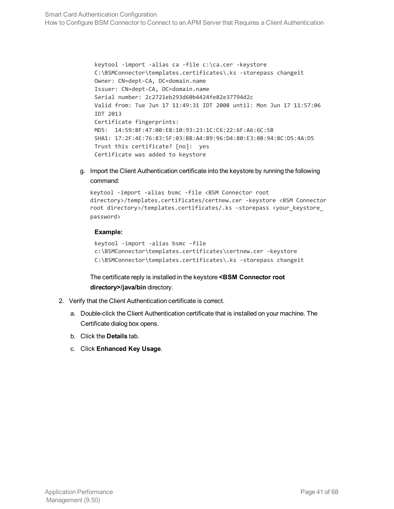keytool -import -alias ca -file c:\ca.cer -keystore C:\BSMConnector\templates.certificates\.ks -storepass changeit Owner: CN=dept-CA, DC=domain.name Issuer: CN=dept-CA, DC=domain.name Serial number: 2c2721eb293d60b4424fe82e37794d2c Valid from: Tue Jun 17 11:49:31 IDT 2008 until: Mon Jun 17 11:57:06 IDT 2013 Certificate fingerprints: MD5: 14:59:8F:47:00:E8:10:93:23:1C:C6:22:6F:A6:6C:5B SHA1: 17:2F:4E:76:83:5F:03:BB:A4:B9:96:D4:80:E3:08:94:8C:D5:4A:D5 Trust this certificate? [no]: yes Certificate was added to keystore

g. Import the Client Authentication certificate into the keystore by running the following command:

```
keytool -import -alias bsmc -file <BSM Connector root
directory>/templates.certificates/certnew.cer -keystore <BSM Connector
root directory>/templates.certificates/.ks -storepass <your_keystore_
password>
```
#### **Example:**

```
keytool -import -alias bsmc -file
c:\BSMConnector\templates.certificates\certnew.cer -keystore
C:\BSMConnector\templates.certificates\.ks -storepass changeit
```
The certificate reply is installed in the keystore **<BSM Connector root directory>/java/bin** directory.

- 2. Verify that the Client Authentication certificate is correct.
	- a. Double-click the Client Authentication certificate that is installed on your machine. The Certificate dialog box opens.
	- b. Click the **Details** tab.
	- c. Click **Enhanced Key Usage**.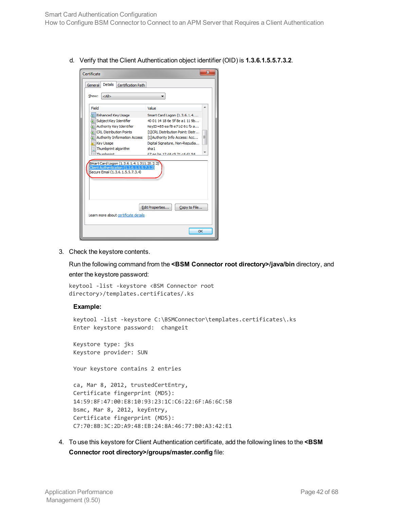How to Configure BSM Connector to Connect to an APM Server that Requires a Client Authentication

d. Verify that the Client Authentication object identifier (OID) is **1.3.6.1.5.5.7.3.2**.

| Certificate                                                                                                                                                                                                        | x                                                                                                                                                                                                                                                                |  |
|--------------------------------------------------------------------------------------------------------------------------------------------------------------------------------------------------------------------|------------------------------------------------------------------------------------------------------------------------------------------------------------------------------------------------------------------------------------------------------------------|--|
| Details<br>Certification Path<br>General                                                                                                                                                                           |                                                                                                                                                                                                                                                                  |  |
| Show:<br>$<$ All $>$                                                                                                                                                                                               |                                                                                                                                                                                                                                                                  |  |
| Field<br>Enhanced Key Usage<br>Subject Key Identifier<br>Authority Key Identifier<br><b>WEICRL Distribution Points</b><br>第 Authority Information Access<br><b>Key Usage</b><br>Thumborint algorithm<br>Thumhnrint | ۰<br>Value<br>Smart Card Logon (1.3.6.1.4<br>40.01.14.18.6e.5f 8e.a1.11.9b<br>KeyID=85 ea f8 e7 b2 61 fb a<br>[1]CRL Distribution Point: Distr<br>Ξ<br>[1] Authority Info Access: Acc<br>Digital Signature, Non-Repudia<br>sha1<br>67 ae ha 12 d4 c9 21 c4 d1 94 |  |
| Smart Card Logon (1.3.6.1.4.1.311.20.2.2)<br>Client Authentication (1.3.6.1.5.5.7.3.2)<br>Secure Email (1.3.6.1.5.5.7.3.4)                                                                                         |                                                                                                                                                                                                                                                                  |  |
| Learn more about certificate details                                                                                                                                                                               | Edit Properties<br>Copy to File                                                                                                                                                                                                                                  |  |
|                                                                                                                                                                                                                    | OK                                                                                                                                                                                                                                                               |  |

<span id="page-41-0"></span>3. Check the keystore contents.

Run the following command from the **<BSM Connector root directory>/java/bin** directory, and enter the keystore password:

```
keytool -list -keystore <BSM Connector root
directory>/templates.certificates/.ks
```
#### **Example:**

```
keytool -list -keystore C:\BSMConnector\templates.certificates\.ks
Enter keystore password: changeit
```
Keystore type: jks Keystore provider: SUN

Your keystore contains 2 entries

ca, Mar 8, 2012, trustedCertEntry, Certificate fingerprint (MD5): 14:59:8F:47:00:E8:10:93:23:1C:C6:22:6F:A6:6C:5B bsmc, Mar 8, 2012, keyEntry, Certificate fingerprint (MD5): C7:70:8B:3C:2D:A9:48:EB:24:8A:46:77:B0:A3:42:E1

4. To use this keystore for Client Authentication certificate, add the following lines to the **<BSM Connector root directory>/groups/master.config** file: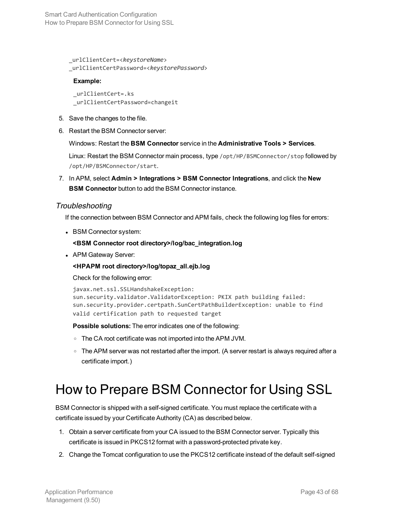\_urlClientCert=<*keystoreName*> \_urlClientCertPassword=<*keystorePassword*>

#### **Example:**

\_urlClientCert=.ks \_urlClientCertPassword=changeit

- 5. Save the changes to the file.
- 6. Restart the BSM Connector server:

Windows: Restart the **BSM Connector** service in the **Administrative Tools > Services**.

Linux: Restart the BSM Connector main process, type /opt/HP/BSMConnector/stop followed by /opt/HP/BSMConnector/start.

7. In APM, select **Admin > Integrations > BSM Connector Integrations**, and click the **New BSM Connector** button to add the BSM Connector instance.

#### **Troubleshooting**

If the connection between BSM Connector and APM fails, check the following log files for errors:

• BSM Connector system:

#### **<BSM Connector root directory>/log/bac\_integration.log**

• APM Gateway Server:

**<HPAPM root directory>/log/topaz\_all.ejb.log**

Check for the following error:

```
javax.net.ssl.SSLHandshakeException:
sun.security.validator.ValidatorException: PKIX path building failed:
sun.security.provider.certpath.SunCertPathBuilderException: unable to find
valid certification path to requested target
```
**Possible solutions:** The error indicates one of the following:

- o The CA root certificate was not imported into the APM JVM.
- <sup>o</sup> The APM server was not restarted after the import. (A server restart is always required after a certificate import.)

## <span id="page-42-0"></span>How to Prepare BSM Connector for Using SSL

BSM Connector is shipped with a self-signed certificate. You must replace the certificate with a certificate issued by your Certificate Authority (CA) as described below.

- 1. Obtain a server certificate from your CA issued to the BSM Connector server. Typically this certificate is issued in PKCS12 format with a password-protected private key.
- 2. Change the Tomcat configuration to use the PKCS12 certificate instead of the default self-signed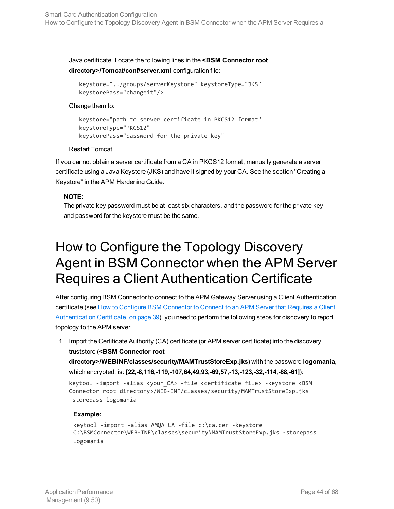Java certificate. Locate the following lines in the **<BSM Connector root directory>/Tomcat/conf/server.xml** configuration file:

```
keystore="../groups/serverKeystore" keystoreType="JKS"
keystorePass="changeit"/>
```
#### Change them to:

```
keystore="path to server certificate in PKCS12 format"
   keystoreType="PKCS12"
keystorePass="password for the private key"
```
Restart Tomcat.

If you cannot obtain a server certificate from a CA in PKCS12 format, manually generate a server certificate using a Java Keystore (JKS) and have it signed by your CA. See the section "Creating a Keystore" in the APM Hardening Guide.

#### **NOTE:**

The private key password must be at least six characters, and the password for the private key and password for the keystore must be the same.

## <span id="page-43-0"></span>How to Configure the Topology Discovery Agent in BSM Connector when the APM Server Requires a Client Authentication Certificate

After configuring BSM Connector to connect to the APM Gateway Server using a Client Authentication certificate (see How to Configure BSM [Connector](#page-38-0) to Connect to an APM Server that Requires a Client [Authentication](#page-38-0) Certificate, on page 39), you need to perform the following steps for discovery to report topology to the APM server.

1. Import the Certificate Authority (CA) certificate (or APM server certificate) into the discovery truststore (**<BSM Connector root**

**directory>/WEBINF/classes/security/MAMTrustStoreExp.jks**) with the password **logomania**, which encrypted, is: **[22,-8,116,-119,-107,64,49,93,-69,57,-13,-123,-32,-114,-88,-61]**):

```
keytool -import -alias <your_CA> -file <certificate file> -keystore <BSM
Connector root directory>/WEB-INF/classes/security/MAMTrustStoreExp.jks
-storepass logomania
```
#### **Example:**

```
keytool -import -alias AMQA_CA -file c:\ca.cer -keystore
C:\BSMConnector\WEB-INF\classes\security\MAMTrustStoreExp.jks -storepass
logomania
```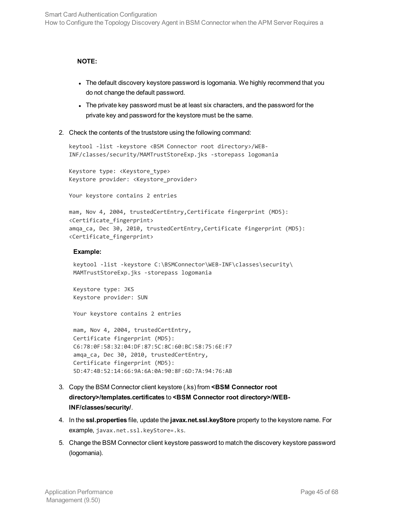#### **NOTE:**

- The default discovery keystore password is logomania. We highly recommend that you do not change the default password.
- The private key password must be at least six characters, and the password for the private key and password for the keystore must be the same.
- 2. Check the contents of the truststore using the following command:

```
keytool -list -keystore <BSM Connector root directory>/WEB-
INF/classes/security/MAMTrustStoreExp.jks -storepass logomania
```
Keystore type: <Keystore\_type> Keystore provider: <Keystore\_provider>

Your keystore contains 2 entries

```
mam, Nov 4, 2004, trustedCertEntry,Certificate fingerprint (MD5):
<Certificate_fingerprint>
amqa_ca, Dec 30, 2010, trustedCertEntry,Certificate fingerprint (MD5):
<Certificate_fingerprint>
```
#### **Example:**

```
keytool -list -keystore C:\BSMConnector\WEB-INF\classes\security\
MAMTrustStoreExp.jks -storepass logomania
```
Keystore type: JKS Keystore provider: SUN

Your keystore contains 2 entries

```
mam, Nov 4, 2004, trustedCertEntry,
Certificate fingerprint (MD5):
C6:78:0F:58:32:04:DF:87:5C:8C:60:BC:58:75:6E:F7
amqa_ca, Dec 30, 2010, trustedCertEntry,
Certificate fingerprint (MD5):
5D:47:4B:52:14:66:9A:6A:0A:90:8F:6D:7A:94:76:AB
```
- 3. Copy the BSM Connector client keystore (.ks) from **<BSM Connector root directory>/templates.certificates** to **<BSM Connector root directory>/WEB-INF/classes/security/**.
- 4. In the **ssl.properties** file, update the **javax.net.ssl.keyStore** property to the keystore name. For example, javax.net.ssl.keyStore=.ks.
- 5. Change the BSM Connector client keystore password to match the discovery keystore password (logomania).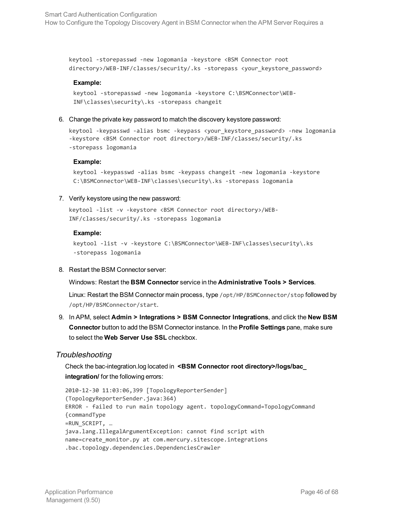keytool -storepasswd -new logomania -keystore <BSM Connector root directory>/WEB-INF/classes/security/.ks -storepass <your\_keystore\_password>

#### **Example:**

```
keytool -storepasswd -new logomania -keystore C:\BSMConnector\WEB-
INF\classes\security\.ks -storepass changeit
```
6. Change the private key password to match the discovery keystore password:

```
keytool -keypasswd -alias bsmc -keypass <your_keystore_password> -new logomania
-keystore <BSM Connector root directory>/WEB-INF/classes/security/.ks
-storepass logomania
```
#### **Example:**

```
keytool -keypasswd -alias bsmc -keypass changeit -new logomania -keystore
C:\BSMConnector\WEB-INF\classes\security\.ks -storepass logomania
```
#### 7. Verify keystore using the new password:

```
keytool -list -v -keystore <BSM Connector root directory>/WEB-
INF/classes/security/.ks -storepass logomania
```
#### **Example:**

```
keytool -list -v -keystore C:\BSMConnector\WEB-INF\classes\security\.ks
-storepass logomania
```
8. Restart the BSM Connector server:

Windows: Restart the **BSM Connector** service in the **Administrative Tools > Services**.

Linux: Restart the BSM Connector main process, type /opt/HP/BSMConnector/stop followed by /opt/HP/BSMConnector/start.

9. In APM, select **Admin > Integrations > BSM Connector Integrations**, and click the **New BSM Connector** button to add the BSM Connector instance. In the **Profile Settings** pane, make sure to select the **Web Server Use SSL** checkbox.

#### Troubleshooting

Check the bac-integration.log located in **<BSM Connector root directory>/logs/bac\_ integration/** for the following errors:

```
2010-12-30 11:03:06,399 [TopologyReporterSender]
(TopologyReporterSender.java:364)
ERROR - failed to run main topology agent. topologyCommand=TopologyCommand
{commandType
=RUN_SCRIPT, …
java.lang.IllegalArgumentException: cannot find script with
name=create_monitor.py at com.mercury.sitescope.integrations
.bac.topology.dependencies.DependenciesCrawler
```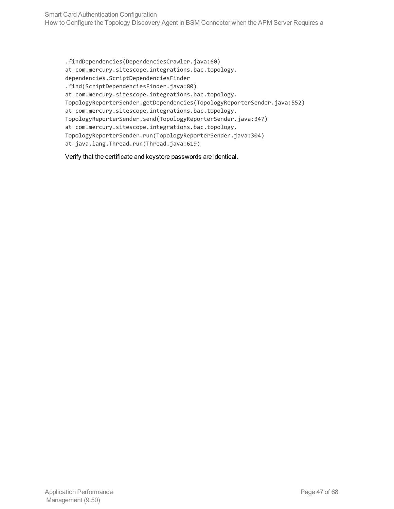.findDependencies(DependenciesCrawler.java:60) at com.mercury.sitescope.integrations.bac.topology. dependencies.ScriptDependenciesFinder .find(ScriptDependenciesFinder.java:80) at com.mercury.sitescope.integrations.bac.topology. TopologyReporterSender.getDependencies(TopologyReporterSender.java:552) at com.mercury.sitescope.integrations.bac.topology. TopologyReporterSender.send(TopologyReporterSender.java:347) at com.mercury.sitescope.integrations.bac.topology. TopologyReporterSender.run(TopologyReporterSender.java:304) at java.lang.Thread.run(Thread.java:619)

Verify that the certificate and keystore passwords are identical.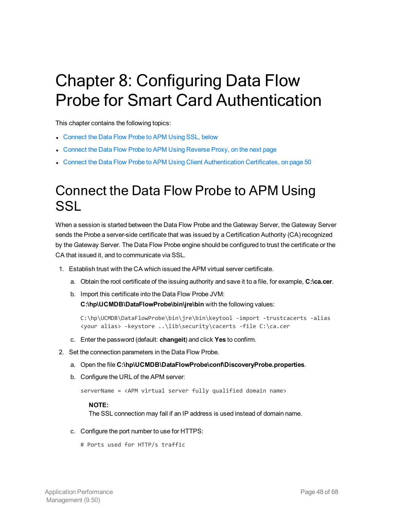# <span id="page-47-0"></span>Chapter 8: Configuring Data Flow Probe for Smart Card Authentication

This chapter contains the following topics:

- [Connect](#page-47-1) the Data Flow Probe to APM Using SSL, below
- Connect the Data Flow Probe to [APM Using](#page-48-0) Reverse Proxy, on the next page
- <span id="page-47-1"></span>• Connect the Data Flow Probe to APM Using Client [Authentication](#page-49-0) Certificates, on page 50

### Connect the Data Flow Probe to APM Using **SSL**

When a session is started between the Data Flow Probe and the Gateway Server, the Gateway Server sends the Probe a server-side certificate that was issued by a Certification Authority (CA) recognized by the Gateway Server. The Data Flow Probe engine should be configured to trust the certificate or the CA that issued it, and to communicate via SSL.

- 1. Establish trust with the CA which issued the APM virtual server certificate.
	- a. Obtain the root certificate of the issuing authority and save it to a file, for example, **C:\ca.cer**.
	- b. Import this certificate into the Data Flow Probe JVM: **C:\hp\UCMDB\DataFlowProbe\bin\jre\bin** with the following values:

```
C:\hp\UCMDB\DataFlowProbe\bin\jre\bin\keytool -import -trustcacerts -alias
<your alias> -keystore ..\lib\security\cacerts -file C:\ca.cer
```
- c. Enter the password (default: **changeit**) and click **Yes** to confirm.
- 2. Set the connection parameters in the Data Flow Probe.
	- a. Open the file **C:\hp\UCMDB\DataFlowProbe\conf\DiscoveryProbe.properties**.
	- b. Configure the URL of the APM server:

```
serverName = <APM virtual server fully qualified domain name>
```
#### **NOTE:**

The SSL connection may fail if an IP address is used instead of domain name.

- c. Configure the port number to use for HTTPS:
	- # Ports used for HTTP/s traffic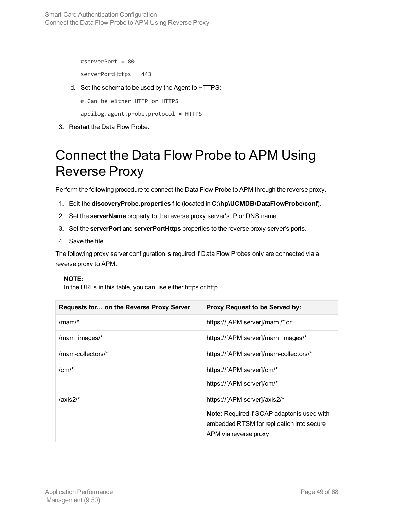#serverPort = 80

serverPortHttps = 443

d. Set the schema to be used by the Agent to HTTPS:

# Can be either HTTP or HTTPS

appilog.agent.probe.protocol = HTTPS

<span id="page-48-0"></span>3. Restart the Data Flow Probe.

## Connect the Data Flow Probe to APM Using Reverse Proxy

Perform the following procedure to connect the Data Flow Probe to APM through the reverse proxy.

- 1. Edit the **discoveryProbe.properties** file (located in **C:\hp\UCMDB\DataFlowProbe\conf**).
- 2. Set the **serverName** property to the reverse proxy server's IP or DNS name.
- 3. Set the **serverPort** and **serverPortHttps** properties to the reverse proxy server's ports.
- 4. Save the file.

The following proxy server configuration is required if Data Flow Probes only are connected via a reverse proxy to APM.

#### **NOTE:**

In the URLs in this table, you can use either https or http.

| <b>Requests for on the Reverse Proxy Server</b> | Proxy Request to be Served by:                                                                                                                            |
|-------------------------------------------------|-----------------------------------------------------------------------------------------------------------------------------------------------------------|
| $/mam/$ *                                       | https://[APM server]/mam /* or                                                                                                                            |
| /mam images/*                                   | https://[APM server]/mam images/*                                                                                                                         |
| /mam-collectors/*                               | https://[APM server]/mam-collectors/*                                                                                                                     |
| $/cm/$ *                                        | https://[APM server]/cm/*<br>https://[APM server]/cm/*                                                                                                    |
| $/axis2/*$                                      | https://[APM server]/axis2/*<br><b>Note:</b> Required if SOAP adaptor is used with<br>embedded RTSM for replication into secure<br>APM via reverse proxy. |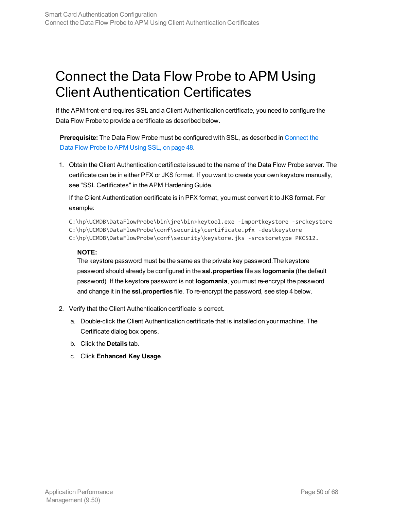## <span id="page-49-0"></span>Connect the Data Flow Probe to APM Using Client Authentication Certificates

If the APM front-end requires SSL and a Client Authentication certificate, you need to configure the Data Flow Probe to provide a certificate as described below.

**Prerequisite:** The Data Flow Probe must be configured with SSL, as described in [Connect](#page-47-1) the Data Flow [Probe](#page-47-1) to APM Using SSL, on page 48.

1. Obtain the Client Authentication certificate issued to the name of the Data Flow Probe server. The certificate can be in either PFX or JKS format. If you want to create your own keystore manually, see "SSL Certificates" in the APM Hardening Guide.

If the Client Authentication certificate is in PFX format, you must convert it to JKS format. For example:

C:\hp\UCMDB\DataFlowProbe\bin\jre\bin>keytool.exe -importkeystore -srckeystore C:\hp\UCMDB\DataFlowProbe\conf\security\certificate.pfx -destkeystore C:\hp\UCMDB\DataFlowProbe\conf\security\keystore.jks -srcstoretype PKCS12.

#### **NOTE:**

The keystore password must be the same as the private key password.The keystore password should already be configured in the **ssl.properties** file as **logomania** (the default password). If the keystore password is not **logomania**, you must re-encrypt the password and change it in the **ssl.properties** file. To re-encrypt the password, see step 4 below.

- 2. Verify that the Client Authentication certificate is correct.
	- a. Double-click the Client Authentication certificate that is installed on your machine. The Certificate dialog box opens.
	- b. Click the **Details** tab.
	- c. Click **Enhanced Key Usage**.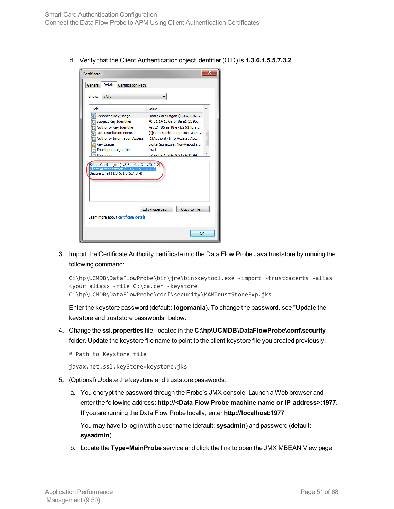d. Verify that the Client Authentication object identifier (OID) is **1.3.6.1.5.5.7.3.2**.

| Certificate                                                                                                                                                                                                                                                                                                                                 | х                                                                                                                                                                                                                                                            |
|---------------------------------------------------------------------------------------------------------------------------------------------------------------------------------------------------------------------------------------------------------------------------------------------------------------------------------------------|--------------------------------------------------------------------------------------------------------------------------------------------------------------------------------------------------------------------------------------------------------------|
| Details<br>Certification Path<br>General                                                                                                                                                                                                                                                                                                    |                                                                                                                                                                                                                                                              |
| Show:<br>$<$ All $>$                                                                                                                                                                                                                                                                                                                        |                                                                                                                                                                                                                                                              |
| Field<br><b>Enhanced Key Usage</b><br>Subject Key Identifier<br>Authority Key Identifier<br>CRL Distribution Points<br>Authority Information Access<br><b>Key Usage</b><br>Thumbprint algorithm<br>Thumborint<br>Smart Card Logon (1.3.6.1.4.1.311.20.2.2)<br>Client Authentication (1.3.6.1.5.5.7.3.2)<br>Secure Email (1.3.6.1.5.5.7.3.4) | Value<br>Smart Card Logon (1.3.6.1.4<br>40 01 14 18 6e 5f 8e a1 11 9b<br>KevID=85 ea f8 e7 b2 61 fb a<br>[1]CRL Distribution Point: Distr<br>Ξ<br>[1] Authority Info Access: Acc<br>Digital Signature, Non-Repudia<br>sha 1<br>67 ae ha 12 d4 c9 21 c4 d1 94 |
| Learn more about certificate details                                                                                                                                                                                                                                                                                                        | Edit Properties<br>Copy to File                                                                                                                                                                                                                              |
|                                                                                                                                                                                                                                                                                                                                             | OK                                                                                                                                                                                                                                                           |

3. Import the Certificate Authority certificate into the Data Flow Probe Java truststore by running the following command:

```
C:\hp\UCMDB\DataFlowProbe\bin\jre\bin>keytool.exe -import -trustcacerts -alias
<your alias> -file C:\ca.cer -keystore
C:\hp\UCMDB\DataFlowProbe\conf\security\MAMTrustStoreExp.jks
```
Enter the keystore password (default: **logomania**). To change the password, see "Update the keystore and truststore passwords" below.

4. Change the **ssl.properties** file, located in the **C:\hp\UCMDB\DataFlowProbe\conf\security** folder. Update the keystore file name to point to the client keystore file you created previously:

```
# Path to Keystore file
```
javax.net.ssl.keyStore=keystore.jks

- 5. (Optional) Update the keystore and truststore passwords:
	- a. You encrypt the password through the Probe's JMX console: Launch a Web browser and enter the following address: **http://<Data Flow Probe machine name or IP address>:1977**. If you are running the Data Flow Probe locally, enter **http://localhost:1977**.

You may have to log in with a user name (default: **sysadmin**) and password (default: **sysadmin**).

b. Locate the **Type=MainProbe** service and click the link to open the JMX MBEAN View page.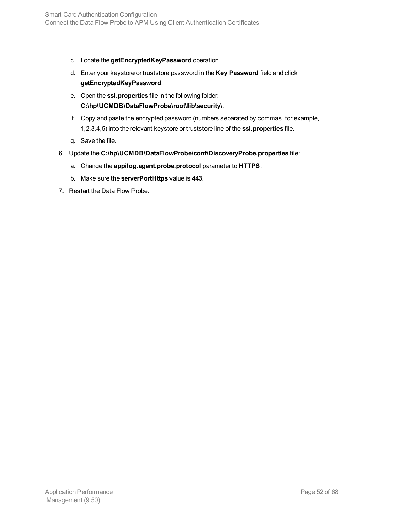- c. Locate the **getEncryptedKeyPassword** operation.
- d. Enter your keystore or truststore password in the **Key Password** field and click **getEncryptedKeyPassword**.
- e. Open the **ssl.properties** file in the following folder: **C:\hp\UCMDB\DataFlowProbe\root\lib\security\**.
- f. Copy and paste the encrypted password (numbers separated by commas, for example, 1,2,3,4,5) into the relevant keystore or truststore line of the **ssl.properties** file.
- g. Save the file.
- 6. Update the **C:\hp\UCMDB\DataFlowProbe\conf\DiscoveryProbe.properties** file:
	- a. Change the **appilog.agent.probe.protocol** parameter to **HTTPS**.
	- b. Make sure the **serverPortHttps** value is **443**.
- 7. Restart the Data Flow Probe.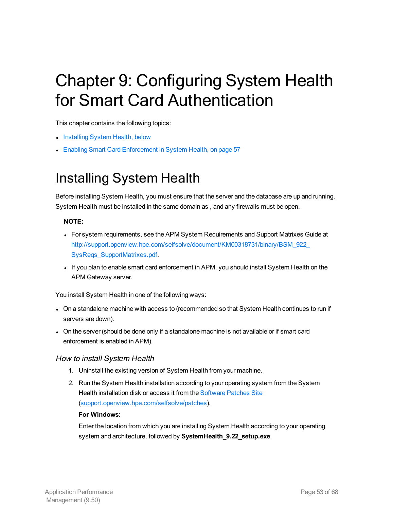# <span id="page-52-0"></span>Chapter 9: Configuring System Health for Smart Card Authentication

This chapter contains the following topics:

- [Installing](#page-52-1) System Health, below
- <span id="page-52-1"></span>• Enabling Smart Card [Enforcement](#page-56-0) in System Health, on page 57

## Installing System Health

Before installing System Health, you must ensure that the server and the database are up and running. System Health must be installed in the same domain as , and any firewalls must be open.

#### **NOTE:**

- For system requirements, see the APM System Requirements and Support Matrixes Guide at [http://support.openview.hpe.com/selfsolve/document/KM00318731/binary/BSM\\_922\\_](http://support.openview.hp.com/selfsolve/document/KM00318731/binary/BSM_922_SysReqs_SupportMatrixes.pdf) [SysReqs\\_SupportMatrixes.pdf](http://support.openview.hp.com/selfsolve/document/KM00318731/binary/BSM_922_SysReqs_SupportMatrixes.pdf).
- If you plan to enable smart card enforcement in APM, you should install System Health on the APM Gateway server.

You install System Health in one of the following ways:

- On a standalone machine with access to (recommended so that System Health continues to run if servers are down).
- On the server (should be done only if a standalone machine is not available or if smart card enforcement is enabled in APM).

#### How to install System Health

- 1. Uninstall the existing version of System Health from your machine.
- 2. Run the System Health installation according to your operating system from the System Health installation disk or access it from the [Software](http://support.openview.hp.com/selfsolve/patches) Patches Site [\(support.openview.hpe.com/selfsolve/patches\)](http://support.openview.hp.com/selfsolve/patches).

#### **For Windows:**

Enter the location from which you are installing System Health according to your operating system and architecture, followed by **SystemHealth\_9.22\_setup.exe**.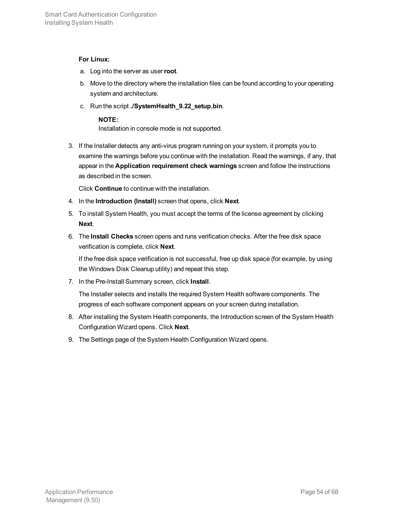#### **For Linux:**

- a. Log into the server as user**root**.
- b. Move to the directory where the installation files can be found according to your operating system and architecture.
- c. Run the script **./SystemHealth\_9.22\_setup.bin**.

#### **NOTE:**

Installation in console mode is not supported.

3. If the Installer detects any anti-virus program running on your system, it prompts you to examine the warnings before you continue with the installation. Read the warnings, if any, that appear in the **Application requirement check warnings** screen and follow the instructions as described in the screen.

Click **Continue** to continue with the installation.

- 4. In the **Introduction (Install)** screen that opens, click **Next**.
- 5. To install System Health, you must accept the terms of the license agreement by clicking **Next**.
- 6. The **Install Checks** screen opens and runs verification checks. After the free disk space verification is complete, click **Next**.

If the free disk space verification is not successful, free up disk space (for example, by using the Windows Disk Cleanup utility) and repeat this step.

7. In the Pre-Install Summary screen, click **Install**.

The Installer selects and installs the required System Health software components. The progress of each software component appears on your screen during installation.

- 8. After installing the System Health components, the Introduction screen of the System Health Configuration Wizard opens. Click **Next**.
- 9. The Settings page of the System Health Configuration Wizard opens.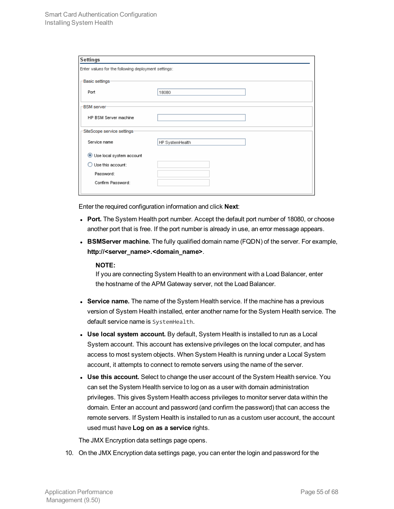| <b>Settings</b>                                     |                 |  |
|-----------------------------------------------------|-----------------|--|
| Enter values for the following deployment settings: |                 |  |
|                                                     |                 |  |
| Basic settings                                      |                 |  |
| Port                                                | 18080           |  |
|                                                     |                 |  |
| <b>BSM</b> server                                   |                 |  |
|                                                     |                 |  |
| HP BSM Server machine                               |                 |  |
| SiteScope service settings:                         |                 |  |
|                                                     |                 |  |
| Service name                                        | HP SystemHealth |  |
|                                                     |                 |  |
| Use local system account                            |                 |  |
| Use this account:                                   |                 |  |
| Password:                                           |                 |  |
| Confirm Password:                                   |                 |  |
|                                                     |                 |  |
|                                                     |                 |  |

Enter the required configuration information and click **Next**:

- Port. The System Health port number. Accept the default port number of 18080, or choose another port that is free. If the port number is already in use, an error message appears.
- **BSMServer machine.** The fully qualified domain name (FQDN) of the server. For example, **http://<server\_name>.<domain\_name>**.

#### **NOTE:**

If you are connecting System Health to an environment with a Load Balancer, enter the hostname of the APM Gateway server, not the Load Balancer.

- **Service name.** The name of the System Health service. If the machine has a previous version of System Health installed, enter another name for the System Health service. The default service name is SystemHealth.
- **Use local system account.** By default, System Health is installed to run as a Local System account. This account has extensive privileges on the local computer, and has access to most system objects. When System Health is running under a Local System account, it attempts to connect to remote servers using the name of the server.
- **Use this account.** Select to change the user account of the System Health service. You can set the System Health service to log on as a user with domain administration privileges. This gives System Health access privileges to monitor server data within the domain. Enter an account and password (and confirm the password) that can access the remote servers. If System Health is installed to run as a custom user account, the account used must have **Log on as a service** rights.

The JMX Encryption data settings page opens.

10. On the JMX Encryption data settings page, you can enter the login and password for the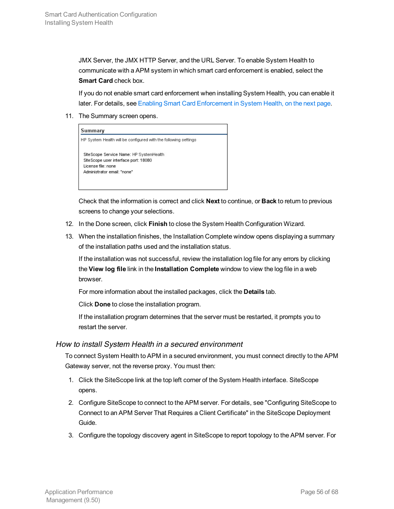JMX Server, the JMX HTTP Server, and the URL Server. To enable System Health to communicate with a APM system in which smart card enforcement is enabled, select the **Smart Card** check box.

If you do not enable smart card enforcement when installing System Health, you can enable it later. For details, see Enabling Smart Card [Enforcement](#page-56-0) in System Health, on the next page.

11. The Summary screen opens.

|                     | HP System Health will be configured with the following settings |
|---------------------|-----------------------------------------------------------------|
|                     | Site Scope Service Name: HP SystemHealth                        |
|                     | Site Scope user interface port: 18080                           |
| License file: none. |                                                                 |
|                     | Administrator email: "none"                                     |

Check that the information is correct and click **Next** to continue, or **Back** to return to previous screens to change your selections.

- 12. In the Done screen, click **Finish** to close the System Health Configuration Wizard.
- 13. When the installation finishes, the Installation Complete window opens displaying a summary of the installation paths used and the installation status.

If the installation was not successful, review the installation log file for any errors by clicking the **View log file** link in the **Installation Complete** window to view the log file in a web browser.

For more information about the installed packages, click the **Details** tab.

Click **Done** to close the installation program.

If the installation program determines that the server must be restarted, it prompts you to restart the server.

#### <span id="page-55-0"></span>How to install System Health in <sup>a</sup> secured environment

To connect System Health to APM in a secured environment, you must connect directly to the APM Gateway server, not the reverse proxy. You must then:

- 1. Click the SiteScope link at the top left corner of the System Health interface. SiteScope opens.
- 2. Configure SiteScope to connect to the APM server. For details, see "Configuring SiteScope to Connect to an APM Server That Requires a Client Certificate" in the SiteScope Deployment Guide.
- 3. Configure the topology discovery agent in SiteScope to report topology to the APM server. For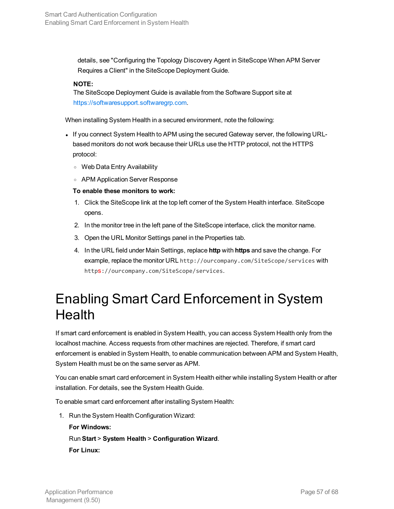details, see "Configuring the Topology Discovery Agent in SiteScope When APM Server Requires a Client" in the SiteScope Deployment Guide.

#### **NOTE:**

The SiteScope Deployment Guide is available from the Software Support site at [https://softwaresupport.softwaregrp.com](https://softwaresupport.softwaregrp.com/).

When installing System Health in a secured environment, note the following:

- If you connect System Health to APM using the secured Gateway server, the following URLbased monitors do not work because their URLs use the HTTP protocol, not the HTTPS protocol:
	- <sup>o</sup> Web Data Entry Availability
	- <sup>o</sup> APM Application Server Response

#### **To enable these monitors to work:**

- 1. Click the SiteScope link at the top left corner of the System Health interface. SiteScope opens.
- 2. In the monitor tree in the left pane of the SiteScope interface, click the monitor name.
- 3. Open the URL Monitor Settings panel in the Properties tab.
- 4. In the URL field under Main Settings, replace **http** with **https** and save the change. For example, replace the monitor URL http://ourcompany.com/SiteScope/services with https://ourcompany.com/SiteScope/services.

### <span id="page-56-0"></span>Enabling Smart Card Enforcement in System **Health**

If smart card enforcement is enabled in System Health, you can access System Health only from the localhost machine. Access requests from other machines are rejected. Therefore, if smart card enforcement is enabled in System Health, to enable communication between APM and System Health, System Health must be on the same server as APM.

You can enable smart card enforcement in System Health either while installing System Health or after installation. For details, see the System Health Guide.

To enable smart card enforcement after installing System Health:

1. Run the System Health Configuration Wizard:

**For Windows:** Run **Start** > **System Health** > **Configuration Wizard**. **For Linux:**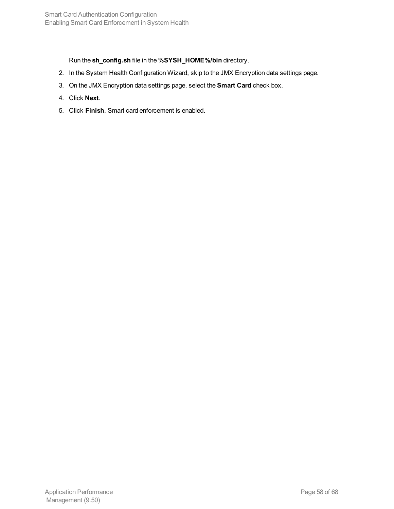Run the **sh\_config.sh** file in the **%SYSH\_HOME%/bin** directory.

- 2. In the System Health Configuration Wizard, skip to the JMX Encryption data settings page.
- 3. On the JMX Encryption data settings page, select the **Smart Card** check box.
- 4. Click **Next**.
- 5. Click **Finish**. Smart card enforcement is enabled.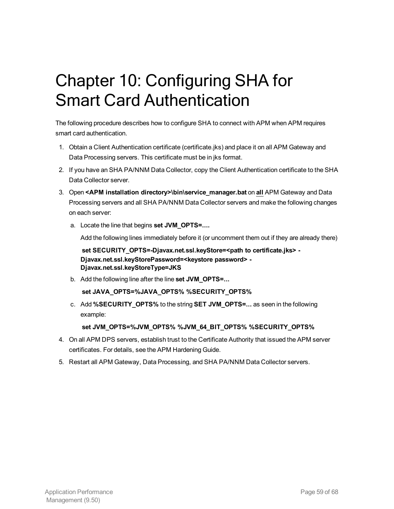# <span id="page-58-0"></span>Chapter 10: Configuring SHA for Smart Card Authentication

The following procedure describes how to configure SHA to connect with APM when APM requires smart card authentication.

- 1. Obtain a Client Authentication certificate (certificate.jks) and place it on all APM Gateway and Data Processing servers. This certificate must be in jks format.
- 2. If you have an SHA PA/NNM Data Collector, copy the Client Authentication certificate to the SHA Data Collector server.
- 3. Open **<APM installation directory>\bin\service\_manager.bat** on **all** APM Gateway and Data Processing servers and all SHA PA/NNM Data Collector servers and make the following changes on each server:
	- a. Locate the line that begins **set JVM\_OPTS=....**

Add the following lines immediately before it (or uncomment them out if they are already there)

**set SECURITY\_OPTS=-Djavax.net.ssl.keyStore=<path to certificate.jks> - Djavax.net.ssl.keyStorePassword=<keystore password> - Djavax.net.ssl.keyStoreType=JKS**

b. Add the following line after the line **set JVM\_OPTS=...**

**set JAVA\_OPTS=%JAVA\_OPTS% %SECURITY\_OPTS%**

c. Add **%SECURITY\_OPTS%** to the string **SET JVM\_OPTS=...** as seen in the following example:

**set JVM\_OPTS=%JVM\_OPTS% %JVM\_64\_BIT\_OPTS% %SECURITY\_OPTS%**

- 4. On all APM DPS servers, establish trust to the Certificate Authority that issued the APM server certificates. For details, see the APM Hardening Guide.
- 5. Restart all APM Gateway, Data Processing, and SHA PA/NNM Data Collector servers.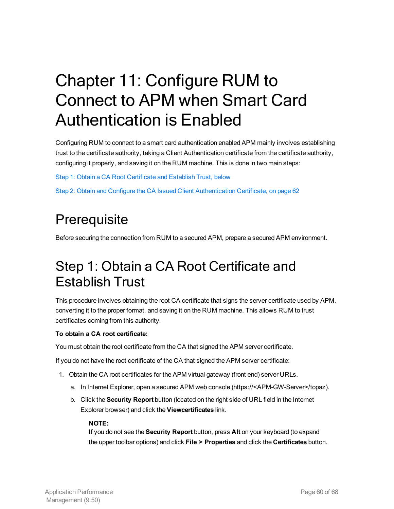# <span id="page-59-0"></span>Chapter 11: Configure RUM to Connect to APM when Smart Card Authentication is Enabled

Configuring RUM to connect to a smart card authentication enabled APM mainly involves establishing trust to the certificate authority, taking a Client Authentication certificate from the certificate authority, configuring it properly, and saving it on the RUM machine. This is done in two main steps:

Step 1: Obtain a CA Root [Certificate](#page-59-2) and Establish Trust, below

<span id="page-59-1"></span>Step 2: Obtain and Configure the CA Issued Client [Authentication](#page-61-0) Certificate, on page 62

## **Prerequisite**

<span id="page-59-2"></span>Before securing the connection from RUM to a secured APM, prepare a secured APM environment.

## Step 1: Obtain a CA Root Certificate and Establish Trust

This procedure involves obtaining the root CA certificate that signs the server certificate used by APM, converting it to the proper format, and saving it on the RUM machine. This allows RUM to trust certificates coming from this authority.

#### **To obtain a CA root certificate:**

You must obtain the root certificate from the CA that signed the APM server certificate.

If you do not have the root certificate of the CA that signed the APM server certificate:

- 1. Obtain the CA root certificates for the APM virtual gateway (front end) server URLs.
	- a. In Internet Explorer, open a secured APM web console (https://<APM-GW-Server>/topaz).
	- b. Click the **Security Report** button (located on the right side of URL field in the Internet Explorer browser) and click the **Viewcertificates** link.

#### **NOTE:**

If you do not see the **Security Report** button, press **Alt** on your keyboard (to expand the upper toolbar options) and click **File > Properties** and click the **Certificates** button.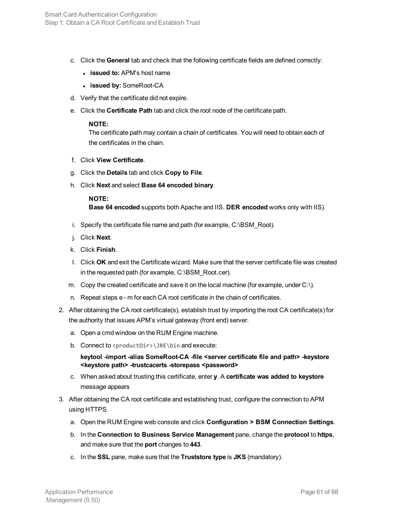- c. Click the **General** tab and check that the following certificate fields are defined correctly:
	- **issued to:** APM's host name
	- <sup>l</sup> **issued by:** SomeRoot-CA
- d. Verify that the certificate did not expire.
- e. Click the **Certificate Path** tab and click the root node of the certificate path.

#### **NOTE:**

The certificate path may contain a chain of certificates. You will need to obtain each of the certificates in the chain.

- f. Click **View Certificate**.
- g. Click the **Details** tab and click **Copy to File**.
- h. Click **Next** and select **Base 64 encoded binary**.

#### **NOTE:**

**Base 64 encoded** supports both Apache and IIS. **DER encoded** works only with IIS).

- i. Specify the certificate file name and path (for example, C:\BSM\_Root).
- j. Click **Next**.
- k. Click **Finish**.
- l. Click **OK** and exit the Certificate wizard. Make sure that the server certificate file was created in the requested path (for example, C:\BSM\_Root.cer).
- m. Copy the created certificate and save it on the local machine (for example, under C:\).
- n. Repeat steps e m for each CA root certificate in the chain of certificates.
- 2. After obtaining the CA root certificate(s), establish trust by importing the root CA certificate(s) for the authority that issues APM's virtual gateway (front end) server.
	- a. Open a cmd window on the RUM Engine machine.
	- b. Connect to  $\text{productDir}\rightarrow\text{JRE}\binom{1}{1}$  and execute:

**keytool -import -alias SomeRoot-CA -file <server certificate file and path> -keystore <keystore path> -trustcacerts -storepass <password>**

- c. When asked about trusting this certificate, enter **y**. A **certificate was added to keystore** message appears
- 3. After obtaining the CA root certificate and establishing trust, configure the connection to APM using HTTPS.
	- a. Open the RUM Engine web console and click **Configuration > BSM Connection Settings**.
	- b. In the **Connection to Business Service Management** pane, change the **protocol** to **https**, and make sure that the **port** changes to **443**.
	- c. In the **SSL** pane, make sure that the **Truststore type** is **JKS** (mandatory).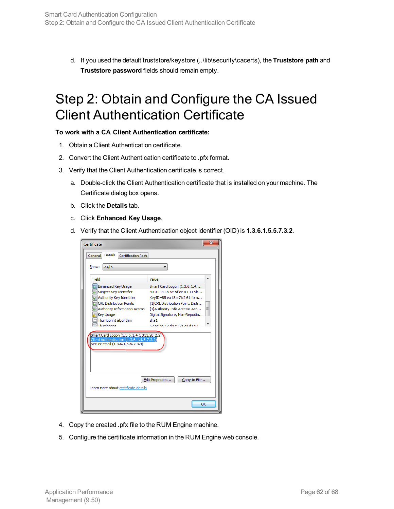<span id="page-61-0"></span>d. If you used the default truststore/keystore (..\lib\security\cacerts), the **Truststore path** and **Truststore password** fields should remain empty.

### Step 2: Obtain and Configure the CA Issued Client Authentication Certificate

#### **To work with a CA Client Authentication certificate:**

- 1. Obtain a Client Authentication certificate.
- 2. Convert the Client Authentication certificate to .pfx format.
- 3. Verify that the Client Authentication certificate is correct.
	- a. Double-click the Client Authentication certificate that is installed on your machine. The Certificate dialog box opens.
	- b. Click the **Details** tab.
	- c. Click **Enhanced Key Usage**.
	- d. Verify that the Client Authentication object identifier (OID) is **1.3.6.1.5.5.7.3.2**.

| x<br>Certificate                                                                                                                                                                                                                                                                                                                |                                                                                                                                                                                                                                                    |  |  |
|---------------------------------------------------------------------------------------------------------------------------------------------------------------------------------------------------------------------------------------------------------------------------------------------------------------------------------|----------------------------------------------------------------------------------------------------------------------------------------------------------------------------------------------------------------------------------------------------|--|--|
| Details<br>Certification Path<br>General                                                                                                                                                                                                                                                                                        |                                                                                                                                                                                                                                                    |  |  |
| Show:<br>$<$ All $>$                                                                                                                                                                                                                                                                                                            |                                                                                                                                                                                                                                                    |  |  |
| Field                                                                                                                                                                                                                                                                                                                           | Value                                                                                                                                                                                                                                              |  |  |
| Enhanced Key Usage<br>Subject Key Identifier<br>[5] Authority Key Identifier<br>CRL Distribution Points<br>Authority Information Access<br><b>Key Usage</b><br>Thumbprint algorithm<br>Thumhnrint<br>Smart Card Logon (1.3.6.1.4.1.311.20.2.2)<br>Client Authentication (1.3.6.1.5.5.7.3.2)<br>Secure Email (1.3.6.1.5.5.7.3.4) | Smart Card Logon (1.3.6.1.4<br>40.01.14.18 6e 5f 8e a1.11.9b<br>KeyID=85 ea f8 e7 b2 61 fb a<br>[1]CRL Distribution Point: Distr<br>Ξ<br>[1] Authority Info Access: Acc<br>Digital Signature, Non-Repudia<br>sha1<br>67 ae ha 12 d4 c9 21 c4 d1 94 |  |  |
| Learn more about certificate details                                                                                                                                                                                                                                                                                            | Edit Properties<br>Copy to File<br>OK                                                                                                                                                                                                              |  |  |

- 4. Copy the created .pfx file to the RUM Engine machine.
- 5. Configure the certificate information in the RUM Engine web console.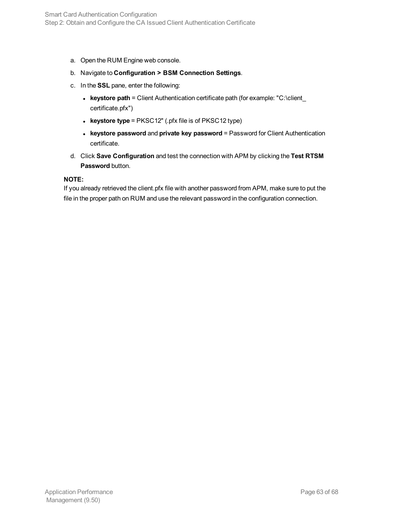- a. Open the RUM Engine web console.
- b. Navigate to **Configuration > BSM Connection Settings**.
- c. In the **SSL** pane, enter the following:
	- **keystore path** = Client Authentication certificate path (for example: "C:\client certificate.pfx")
	- **keystore type** = PKSC12" (.pfx file is of PKSC12 type)
	- **.** keystore password and private key password = Password for Client Authentication certificate.
- d. Click **Save Configuration** and test the connection with APM by clicking the **Test RTSM Password** button.

#### **NOTE:**

If you already retrieved the client.pfx file with another password from APM, make sure to put the file in the proper path on RUM and use the relevant password in the configuration connection.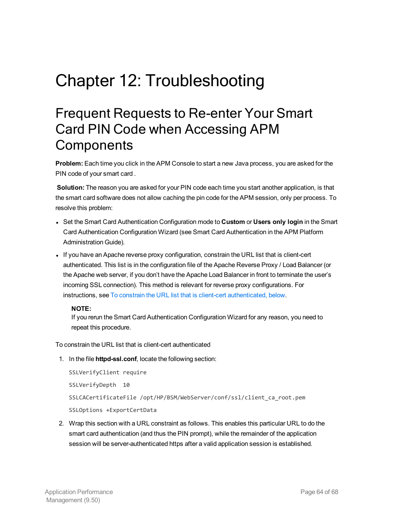# <span id="page-63-0"></span>Chapter 12: Troubleshooting

## <span id="page-63-1"></span>Frequent Requests to Re-enter Your Smart Card PIN Code when Accessing APM **Components**

**Problem:** Each time you click in the APM Console to start a new Java process, you are asked for the PIN code of your smart card .

**Solution:** The reason you are asked for your PIN code each time you start another application, is that the smart card software does not allow caching the pin code for the APM session, only per process. To resolve this problem:

- <sup>l</sup> Set the Smart Card Authentication Configuration mode to **Custom** or **Users only login** in the Smart Card Authentication Configuration Wizard (see Smart Card Authentication in the APM Platform Administration Guide).
- If you have an Apache reverse proxy configuration, constrain the URL list that is client-cert authenticated. This list is in the configuration file of the Apache Reverse Proxy / Load Balancer (or the Apache web server, if you don't have the Apache Load Balancer in front to terminate the user's incoming SSL connection). This method is relevant for reverse proxy configurations. For instructions, see To constrain the URL list that is client-cert [authenticated,](#page-63-2) below.

#### **NOTE:**

If you rerun the Smart Card Authentication Configuration Wizard for any reason, you need to repeat this procedure.

<span id="page-63-2"></span>To constrain the URL list that is client-cert authenticated

1. In the file **httpd-ssl.conf**, locate the following section:

```
SSLVerifyClient require
SSLVerifyDepth 10
SSLCACertificateFile /opt/HP/BSM/WebServer/conf/ssl/client_ca_root.pem
SSLOptions +ExportCertData
```
2. Wrap this section with a URL constraint as follows. This enables this particular URL to do the smart card authentication (and thus the PIN prompt), while the remainder of the application session will be server-authenticated https after a valid application session is established.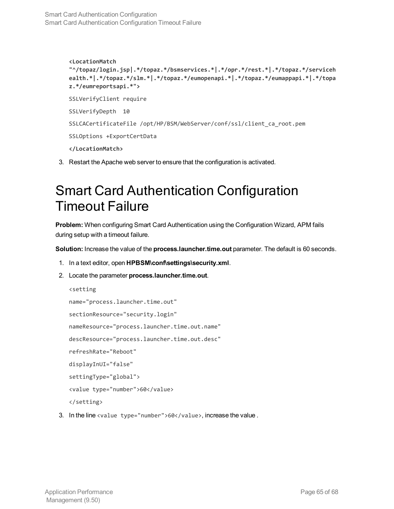**<LocationMatch "^/topaz/login.jsp|.\*/topaz.\*/bsmservices.\*|.\*/opr.\*/rest.\*|.\*/topaz.\*/serviceh ealth.\*|.\*/topaz.\*/slm.\*|.\*/topaz.\*/eumopenapi.\*|.\*/topaz.\*/eumappapi.\*|.\*/topa z.\*/eumreportsapi.\*">** SSLVerifyClient require SSLVerifyDepth 10 SSLCACertificateFile /opt/HP/BSM/WebServer/conf/ssl/client\_ca\_root.pem SSLOptions +ExportCertData **</LocationMatch>**

<span id="page-64-0"></span>3. Restart the Apache web server to ensure that the configuration is activated.

## Smart Card Authentication Configuration Timeout Failure

**Problem:** When configuring Smart Card Authentication using the Configuration Wizard, APM fails during setup with a timeout failure.

**Solution:** Increase the value of the **process.launcher.time.out** parameter. The default is 60 seconds.

- 1. In a text editor, open **HPBSM\conf\settings\security.xml**.
- 2. Locate the parameter **process.launcher.time.out**.

```
<setting
name="process.launcher.time.out"
sectionResource="security.login"
nameResource="process.launcher.time.out.name"
descResource="process.launcher.time.out.desc"
refreshRate="Reboot"
displayInUI="false"
settingType="global">
<value type="number">60</value>
</setting>
```
3. In the line <value type="number">60</value>, increase the value.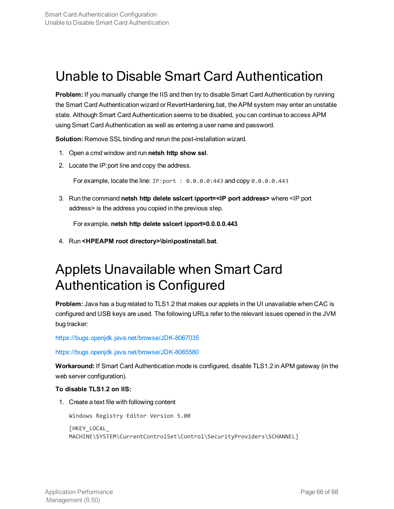### <span id="page-65-0"></span>Unable to Disable Smart Card Authentication

**Problem:** If you manually change the IIS and then try to disable Smart Card Authentication by running the Smart Card Authentication wizard or RevertHardening.bat, the APM system may enter an unstable state. Although Smart Card Authentication seems to be disabled, you can continue to access APM using Smart Card Authentication as well as entering a user name and password.

**Solution:** Remove SSL binding and rerun the post-installation wizard.

- 1. Open a cmd window and run **netsh http show ssl**.
- 2. Locate the IP:port line and copy the address.

For example, locate the line:  $IP: port : 0.0.0.0.443$  and copy  $0.0.0.0.443$ 

3. Run the command **netsh http delete sslcert ipport=<IP port address>** where <IP port address> is the address you copied in the previous step.

For example, **netsh http delete sslcert ipport=0.0.0.0.443**

<span id="page-65-1"></span>4. Run **<HPEAPM root directory>\bin\postinstall.bat**.

### Applets Unavailable when Smart Card Authentication is Configured

**Problem:** Java has a bug related to TLS1.2 that makes our applets in the UI unavailable when CAC is configured and USB keys are used. The following URLs refer to the relevant issues opened in the JVM bug tracker:

<https://bugs.openjdk.java.net/browse/JDK-8067035>

<https://bugs.openjdk.java.net/browse/JDK-8065580>

**Workaround:** If Smart Card Authentication mode is configured, disable TLS1.2 in APM gateway (in the web server configuration).

#### **To disable TLS1.2 on IIS:**

1. Create a text file with following content

Windows Registry Editor Version 5.00

[HKEY\_LOCAL\_ MACHINE\SYSTEM\CurrentControlSet\Control\SecurityProviders\SCHANNEL]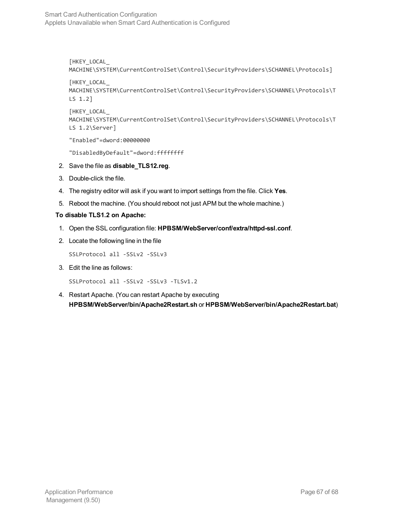[HKEY\_LOCAL\_ MACHINE\SYSTEM\CurrentControlSet\Control\SecurityProviders\SCHANNEL\Protocols]

```
[HKEY_LOCAL_
MACHINE\SYSTEM\CurrentControlSet\Control\SecurityProviders\SCHANNEL\Protocols\T
LS 1.2]
```

```
[HKEY_LOCAL_
MACHINE\SYSTEM\CurrentControlSet\Control\SecurityProviders\SCHANNEL\Protocols\T
LS 1.2\Server]
```
"Enabled"=dword:00000000

"DisabledByDefault"=dword:ffffffff

- 2. Save the file as **disable\_TLS12.reg**.
- 3. Double-click the file.
- 4. The registry editor will ask if you want to import settings from the file. Click **Yes**.
- 5. Reboot the machine. (You should reboot not just APM but the whole machine.)

#### **To disable TLS1.2 on Apache:**

- 1. Open the SSL configuration file: **HPBSM/WebServer/conf/extra/httpd-ssl.conf**.
- 2. Locate the following line in the file

SSLProtocol all -SSLv2 -SSLv3

3. Edit the line as follows:

```
SSLProtocol all -SSLv2 -SSLv3 -TLSv1.2
```
4. Restart Apache. (You can restart Apache by executing **HPBSM/WebServer/bin/Apache2Restart.sh** or **HPBSM/WebServer/bin/Apache2Restart.bat**)